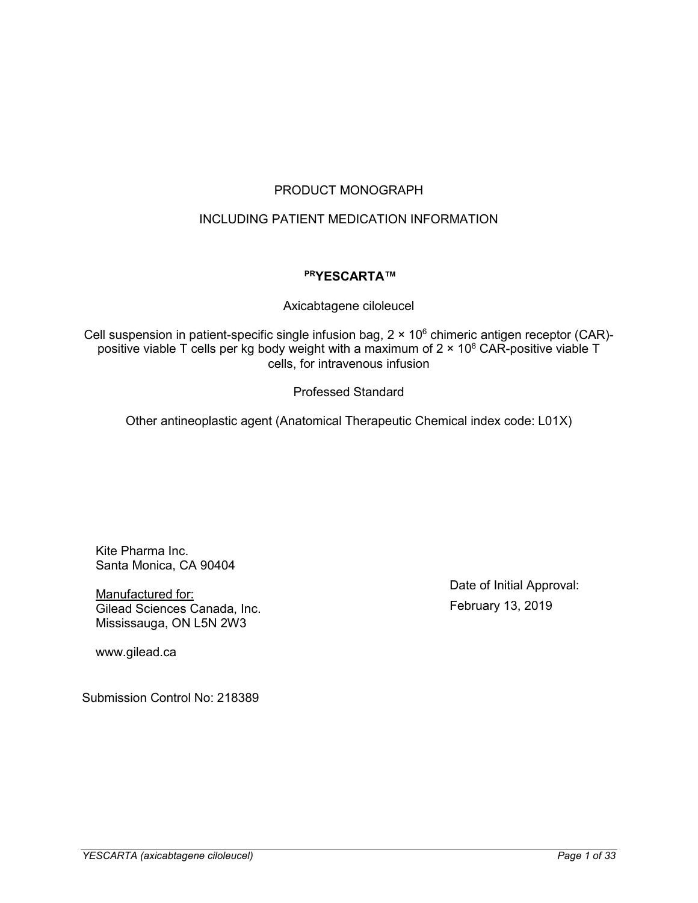## PRODUCT MONOGRAPH

## INCLUDING PATIENT MEDICATION INFORMATION

## **PRYESCARTA™**

Axicabtagene ciloleucel

Cell suspension in patient-specific single infusion bag,  $2 \times 10^6$  chimeric antigen receptor (CAR)positive viable T cells per kg body weight with a maximum of  $2 \times 10^8$  CAR-positive viable T cells, for intravenous infusion

Professed Standard

Other antineoplastic agent (Anatomical Therapeutic Chemical index code: L01X)

Kite Pharma Inc. Santa Monica, CA 90404

Manufactured for: Gilead Sciences Canada, Inc. Mississauga, ON L5N 2W3

www.gilead.ca

Submission Control No: 218389

Date of Initial Approval: February 13, 2019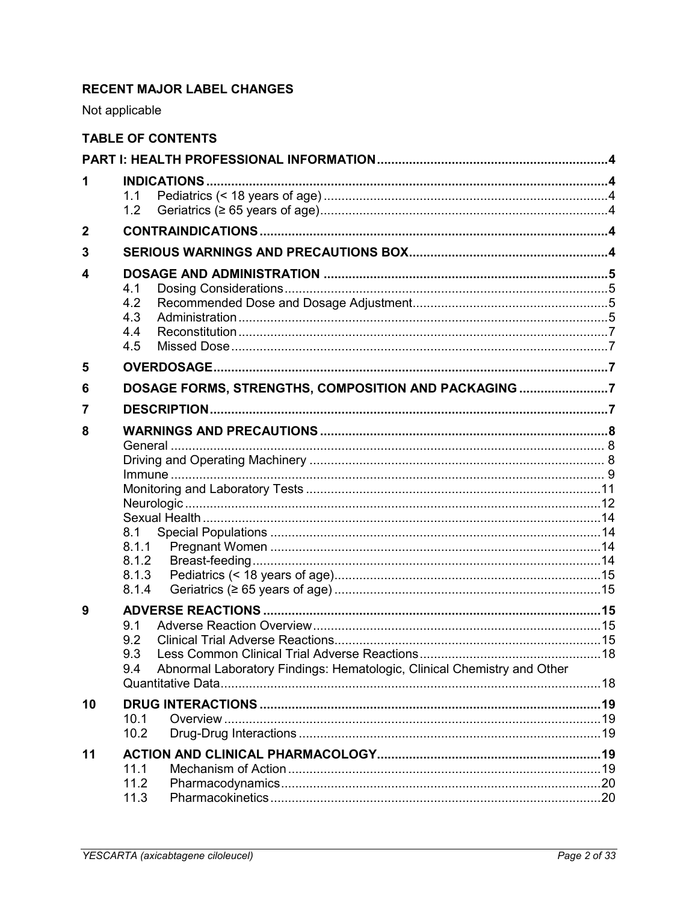# **RECENT MAJOR LABEL CHANGES**

Not applicable

|                  | <b>TABLE OF CONTENTS</b>                                                              |  |
|------------------|---------------------------------------------------------------------------------------|--|
|                  |                                                                                       |  |
| 1                |                                                                                       |  |
|                  | 1.1<br>1.2                                                                            |  |
| $\boldsymbol{2}$ |                                                                                       |  |
| 3                |                                                                                       |  |
| 4                | 4.1<br>4.2<br>4.3                                                                     |  |
|                  | 4.4<br>4.5                                                                            |  |
| 5                |                                                                                       |  |
| 6                | DOSAGE FORMS, STRENGTHS, COMPOSITION AND PACKAGING 7                                  |  |
| 7                |                                                                                       |  |
| 8                |                                                                                       |  |
|                  |                                                                                       |  |
|                  |                                                                                       |  |
|                  |                                                                                       |  |
|                  |                                                                                       |  |
|                  | 8.1                                                                                   |  |
|                  | 8.1.1                                                                                 |  |
|                  | 8.1.2                                                                                 |  |
|                  | 8.1.3<br>8.1.4                                                                        |  |
| 9                |                                                                                       |  |
|                  | 9.1                                                                                   |  |
|                  |                                                                                       |  |
|                  | 9.3<br>Abnormal Laboratory Findings: Hematologic, Clinical Chemistry and Other<br>9.4 |  |
|                  |                                                                                       |  |
| 10               |                                                                                       |  |
|                  | 10.1                                                                                  |  |
|                  | 10.2                                                                                  |  |
| 11               | 11.1                                                                                  |  |
|                  | 11.2                                                                                  |  |
|                  | 11.3                                                                                  |  |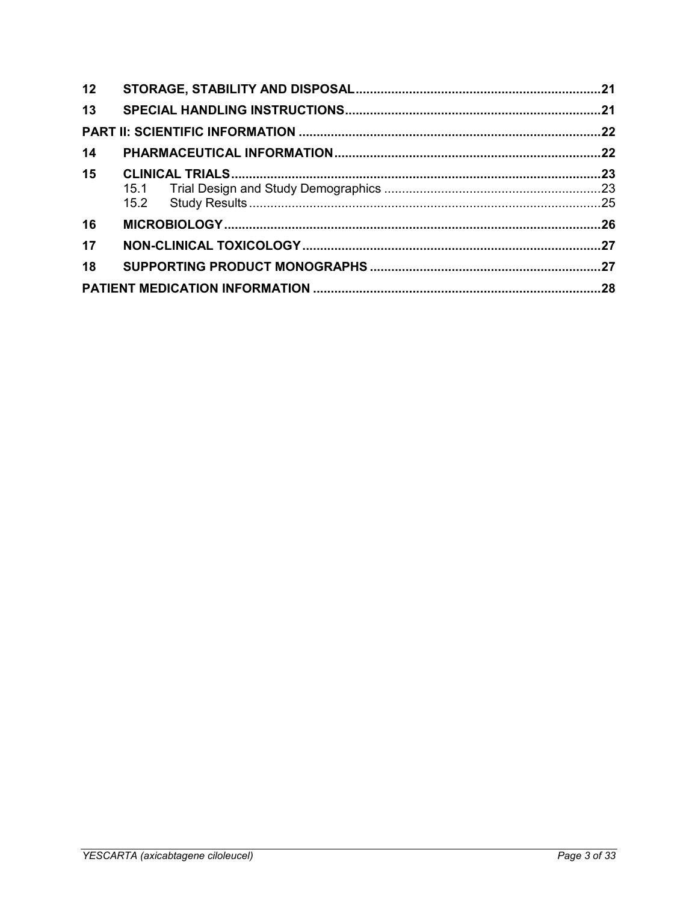| 12 |  |  |
|----|--|--|
| 13 |  |  |
|    |  |  |
| 14 |  |  |
| 15 |  |  |
|    |  |  |
|    |  |  |
| 16 |  |  |
| 17 |  |  |
| 18 |  |  |
|    |  |  |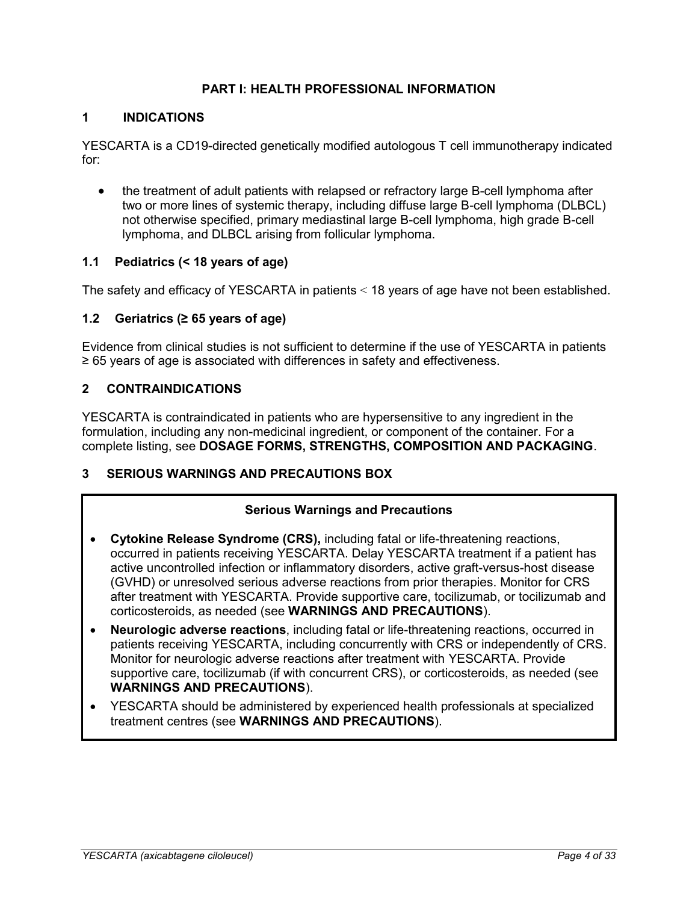## **PART I: HEALTH PROFESSIONAL INFORMATION**

## <span id="page-3-1"></span><span id="page-3-0"></span>**1 INDICATIONS**

YESCARTA is a CD19-directed genetically modified autologous T cell immunotherapy indicated for:

• the treatment of adult patients with relapsed or refractory large B-cell lymphoma after two or more lines of systemic therapy, including diffuse large B-cell lymphoma (DLBCL) not otherwise specified, primary mediastinal large B-cell lymphoma, high grade B-cell lymphoma, and DLBCL arising from follicular lymphoma.

## <span id="page-3-2"></span>**1.1 Pediatrics (< 18 years of age)**

The safety and efficacy of YESCARTA in patients < 18 years of age have not been established.

## <span id="page-3-3"></span>**1.2 Geriatrics (≥ 65 years of age)**

Evidence from clinical studies is not sufficient to determine if the use of YESCARTA in patients ≥ 65 years of age is associated with differences in safety and effectiveness.

## <span id="page-3-4"></span>**2 CONTRAINDICATIONS**

YESCARTA is contraindicated in patients who are hypersensitive to any ingredient in the formulation, including any non-medicinal ingredient, or component of the container. For a complete listing, see **DOSAGE FORMS, STRENGTHS, COMPOSITION AND PACKAGING**.

## <span id="page-3-5"></span>**3 SERIOUS WARNINGS AND PRECAUTIONS BOX**

## **Serious Warnings and Precautions**

- **Cytokine Release Syndrome (CRS),** including fatal or life-threatening reactions, occurred in patients receiving YESCARTA. Delay YESCARTA treatment if a patient has active uncontrolled infection or inflammatory disorders, active graft-versus-host disease (GVHD) or unresolved serious adverse reactions from prior therapies. Monitor for CRS after treatment with YESCARTA. Provide supportive care, tocilizumab, or tocilizumab and corticosteroids, as needed (see **WARNINGS AND PRECAUTIONS**).
- **Neurologic adverse reactions**, including fatal or life-threatening reactions, occurred in patients receiving YESCARTA, including concurrently with CRS or independently of CRS. Monitor for neurologic adverse reactions after treatment with YESCARTA. Provide supportive care, tocilizumab (if with concurrent CRS), or corticosteroids, as needed (see **WARNINGS AND PRECAUTIONS**).
- YESCARTA should be administered by experienced health professionals at specialized treatment centres (see **WARNINGS AND PRECAUTIONS**).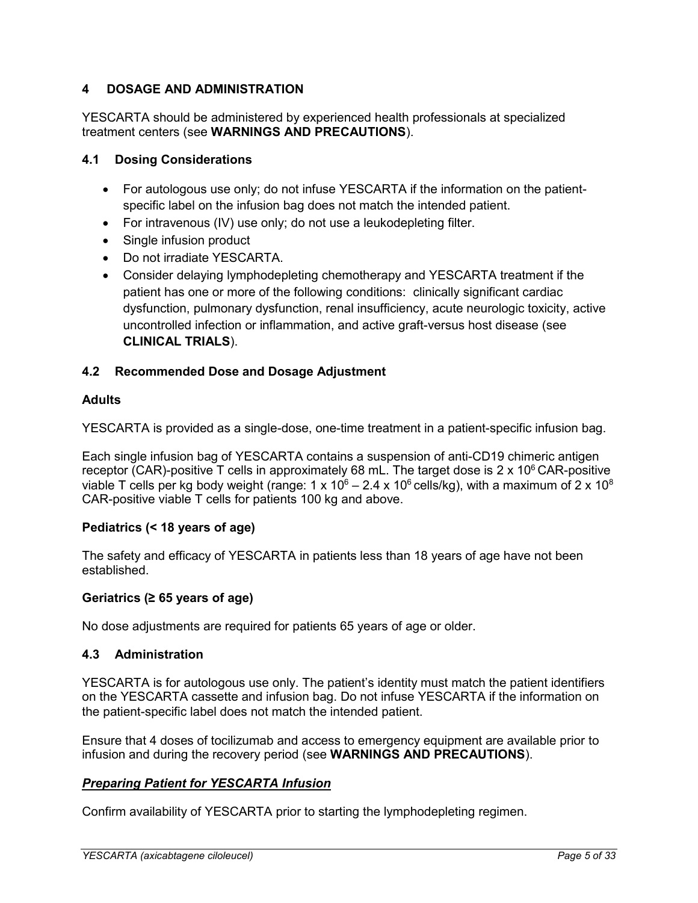## <span id="page-4-0"></span>**4 DOSAGE AND ADMINISTRATION**

YESCARTA should be administered by experienced health professionals at specialized treatment centers (see **WARNINGS AND PRECAUTIONS**).

## <span id="page-4-1"></span>**4.1 Dosing Considerations**

- For autologous use only; do not infuse YESCARTA if the information on the patientspecific label on the infusion bag does not match the intended patient.
- For intravenous (IV) use only; do not use a leukodepleting filter.
- Single infusion product
- Do not irradiate YESCARTA.
- Consider delaying lymphodepleting chemotherapy and YESCARTA treatment if the patient has one or more of the following conditions: clinically significant cardiac dysfunction, pulmonary dysfunction, renal insufficiency, acute neurologic toxicity, active uncontrolled infection or inflammation, and active graft-versus host disease (see **CLINICAL TRIALS**).

## <span id="page-4-2"></span>**4.2 Recommended Dose and Dosage Adjustment**

## **Adults**

YESCARTA is provided as a single-dose, one-time treatment in a patient-specific infusion bag.

Each single infusion bag of YESCARTA contains a suspension of anti-CD19 chimeric antigen receptor (CAR)-positive T cells in approximately 68 mL. The target dose is  $2 \times 10^6$  CAR-positive viable T cells per kg body weight (range: 1 x  $10^6 - 2.4$  x  $10^6$  cells/kg), with a maximum of 2 x  $10^8$ CAR-positive viable T cells for patients 100 kg and above.

## **Pediatrics (< 18 years of age)**

The safety and efficacy of YESCARTA in patients less than 18 years of age have not been established.

## **Geriatrics (≥ 65 years of age)**

No dose adjustments are required for patients 65 years of age or older.

## <span id="page-4-3"></span>**4.3 Administration**

YESCARTA is for autologous use only. The patient's identity must match the patient identifiers on the YESCARTA cassette and infusion bag. Do not infuse YESCARTA if the information on the patient-specific label does not match the intended patient.

Ensure that 4 doses of tocilizumab and access to emergency equipment are available prior to infusion and during the recovery period (see **WARNINGS AND PRECAUTIONS**).

## *Preparing Patient for YESCARTA Infusion*

Confirm availability of YESCARTA prior to starting the lymphodepleting regimen.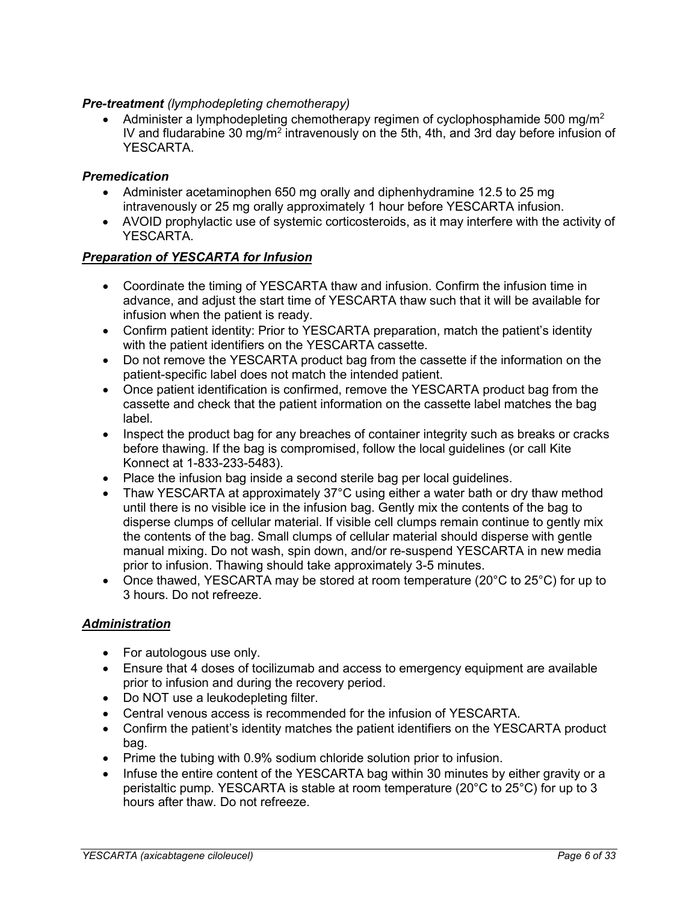## *Pre-treatment (lymphodepleting chemotherapy)*

 Administer a lymphodepleting chemotherapy regimen of cyclophosphamide 500 mg/m<sup>2</sup> IV and fludarabine 30 mg/m<sup>2</sup> intravenously on the 5th, 4th, and 3rd day before infusion of YESCARTA.

## *Premedication*

- Administer acetaminophen 650 mg orally and diphenhydramine 12.5 to 25 mg intravenously or 25 mg orally approximately 1 hour before YESCARTA infusion.
- AVOID prophylactic use of systemic corticosteroids, as it may interfere with the activity of YESCARTA.

## *Preparation of YESCARTA for Infusion*

- Coordinate the timing of YESCARTA thaw and infusion. Confirm the infusion time in advance, and adjust the start time of YESCARTA thaw such that it will be available for infusion when the patient is ready.
- Confirm patient identity: Prior to YESCARTA preparation, match the patient's identity with the patient identifiers on the YESCARTA cassette.
- Do not remove the YESCARTA product bag from the cassette if the information on the patient-specific label does not match the intended patient.
- Once patient identification is confirmed, remove the YESCARTA product bag from the cassette and check that the patient information on the cassette label matches the bag label.
- Inspect the product bag for any breaches of container integrity such as breaks or cracks before thawing. If the bag is compromised, follow the local guidelines (or call Kite Konnect at 1-833-233-5483).
- Place the infusion bag inside a second sterile bag per local quidelines.
- Thaw YESCARTA at approximately 37°C using either a water bath or dry thaw method until there is no visible ice in the infusion bag. Gently mix the contents of the bag to disperse clumps of cellular material. If visible cell clumps remain continue to gently mix the contents of the bag. Small clumps of cellular material should disperse with gentle manual mixing. Do not wash, spin down, and/or re-suspend YESCARTA in new media prior to infusion. Thawing should take approximately 3-5 minutes.
- Once thawed, YESCARTA may be stored at room temperature (20 $\degree$ C to 25 $\degree$ C) for up to 3 hours. Do not refreeze.

## *Administration*

- For autologous use only.
- Ensure that 4 doses of tocilizumab and access to emergency equipment are available prior to infusion and during the recovery period.
- Do NOT use a leukodepleting filter.
- Central venous access is recommended for the infusion of YESCARTA.
- Confirm the patient's identity matches the patient identifiers on the YESCARTA product bag.
- Prime the tubing with 0.9% sodium chloride solution prior to infusion.
- Infuse the entire content of the YESCARTA bag within 30 minutes by either gravity or a peristaltic pump. YESCARTA is stable at room temperature (20°C to 25°C) for up to 3 hours after thaw. Do not refreeze.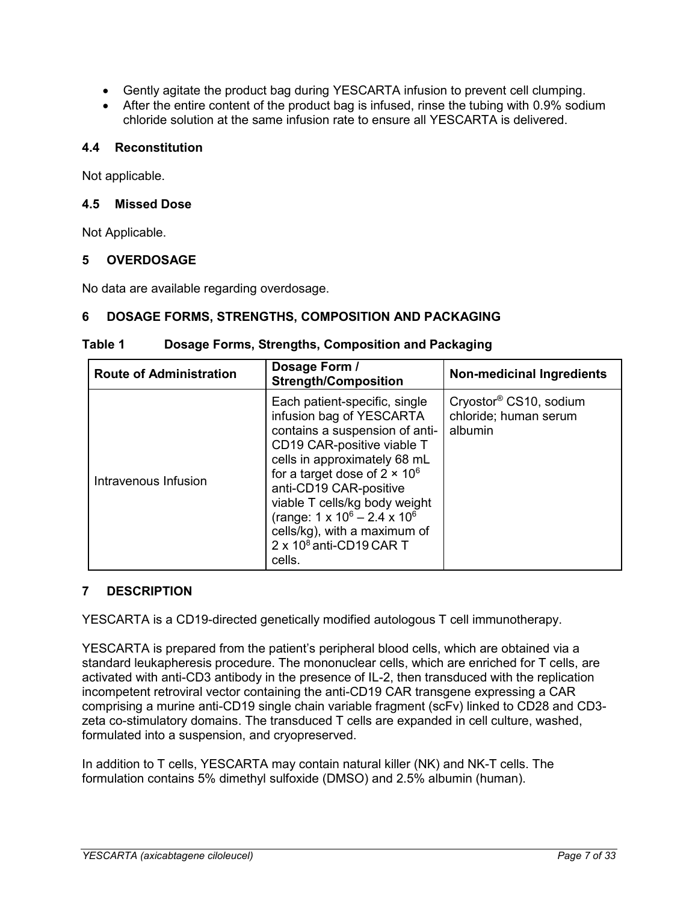- Gently agitate the product bag during YESCARTA infusion to prevent cell clumping.
- After the entire content of the product bag is infused, rinse the tubing with 0.9% sodium chloride solution at the same infusion rate to ensure all YESCARTA is delivered.

## <span id="page-6-0"></span>**4.4 Reconstitution**

Not applicable.

## <span id="page-6-1"></span>**4.5 Missed Dose**

Not Applicable.

## <span id="page-6-2"></span>**5 OVERDOSAGE**

No data are available regarding overdosage.

## <span id="page-6-3"></span>**6 DOSAGE FORMS, STRENGTHS, COMPOSITION AND PACKAGING**

| Table 1 | Dosage Forms, Strengths, Composition and Packaging |
|---------|----------------------------------------------------|
|---------|----------------------------------------------------|

| <b>Route of Administration</b> | Dosage Form /<br><b>Strength/Composition</b>                                                                                                                                                                                                                                                                                                                                           | <b>Non-medicinal Ingredients</b>                                       |
|--------------------------------|----------------------------------------------------------------------------------------------------------------------------------------------------------------------------------------------------------------------------------------------------------------------------------------------------------------------------------------------------------------------------------------|------------------------------------------------------------------------|
| Intravenous Infusion           | Each patient-specific, single<br>infusion bag of YESCARTA<br>contains a suspension of anti-<br>CD19 CAR-positive viable T<br>cells in approximately 68 mL<br>for a target dose of $2 \times 10^6$<br>anti-CD19 CAR-positive<br>viable T cells/kg body weight<br>(range: $1 \times 10^6 - 2.4 \times 10^6$<br>cells/kg), with a maximum of<br>$2 \times 10^8$ anti-CD19 CAR T<br>cells. | Cryostor <sup>®</sup> CS10, sodium<br>chloride; human serum<br>albumin |

## <span id="page-6-4"></span>**7 DESCRIPTION**

YESCARTA is a CD19-directed genetically modified autologous T cell immunotherapy.

YESCARTA is prepared from the patient's peripheral blood cells, which are obtained via a standard leukapheresis procedure. The mononuclear cells, which are enriched for T cells, are activated with anti-CD3 antibody in the presence of IL-2, then transduced with the replication incompetent retroviral vector containing the anti-CD19 CAR transgene expressing a CAR comprising a murine anti-CD19 single chain variable fragment (scFv) linked to CD28 and CD3 zeta co-stimulatory domains. The transduced T cells are expanded in cell culture, washed, formulated into a suspension, and cryopreserved.

In addition to T cells, YESCARTA may contain natural killer (NK) and NK-T cells. The formulation contains 5% dimethyl sulfoxide (DMSO) and 2.5% albumin (human).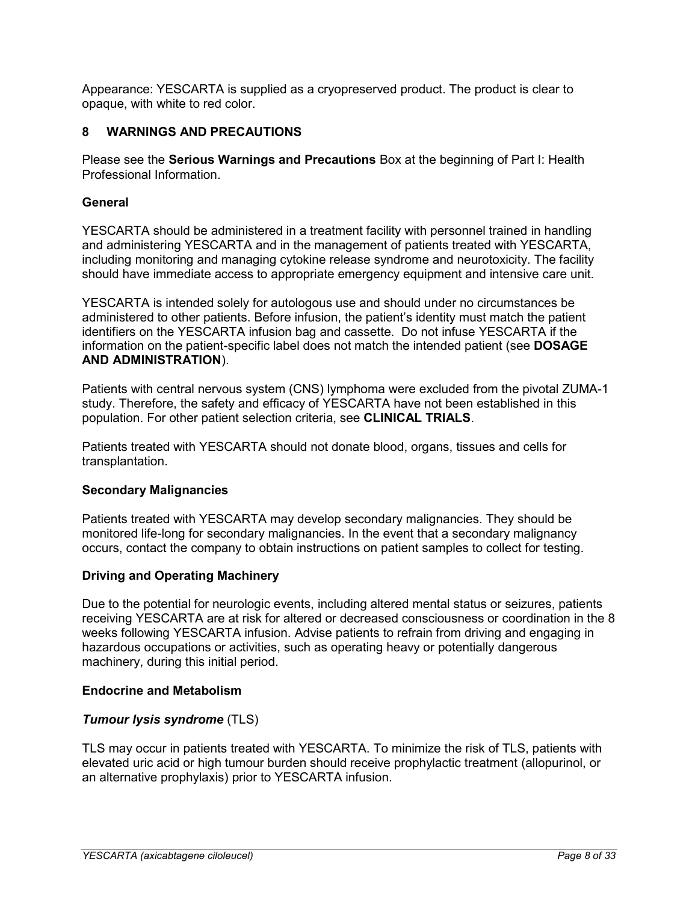Appearance: YESCARTA is supplied as a cryopreserved product. The product is clear to opaque, with white to red color.

## <span id="page-7-0"></span>**8 WARNINGS AND PRECAUTIONS**

Please see the **Serious Warnings and Precautions** Box at the beginning of Part I: Health Professional Information.

## <span id="page-7-1"></span>**General**

YESCARTA should be administered in a treatment facility with personnel trained in handling and administering YESCARTA and in the management of patients treated with YESCARTA, including monitoring and managing cytokine release syndrome and neurotoxicity. The facility should have immediate access to appropriate emergency equipment and intensive care unit.

YESCARTA is intended solely for autologous use and should under no circumstances be administered to other patients. Before infusion, the patient's identity must match the patient identifiers on the YESCARTA infusion bag and cassette. Do not infuse YESCARTA if the information on the patient-specific label does not match the intended patient (see **DOSAGE AND ADMINISTRATION**).

Patients with central nervous system (CNS) lymphoma were excluded from the pivotal ZUMA-1 study. Therefore, the safety and efficacy of YESCARTA have not been established in this population. For other patient selection criteria, see **CLINICAL TRIALS**.

Patients treated with YESCARTA should not donate blood, organs, tissues and cells for transplantation.

## **Secondary Malignancies**

Patients treated with YESCARTA may develop secondary malignancies. They should be monitored life-long for secondary malignancies. In the event that a secondary malignancy occurs, contact the company to obtain instructions on patient samples to collect for testing.

## <span id="page-7-2"></span>**Driving and Operating Machinery**

Due to the potential for neurologic events, including altered mental status or seizures, patients receiving YESCARTA are at risk for altered or decreased consciousness or coordination in the 8 weeks following YESCARTA infusion. Advise patients to refrain from driving and engaging in hazardous occupations or activities, such as operating heavy or potentially dangerous machinery, during this initial period.

## **Endocrine and Metabolism**

## *Tumour lysis syndrome* (TLS)

TLS may occur in patients treated with YESCARTA. To minimize the risk of TLS, patients with elevated uric acid or high tumour burden should receive prophylactic treatment (allopurinol, or an alternative prophylaxis) prior to YESCARTA infusion.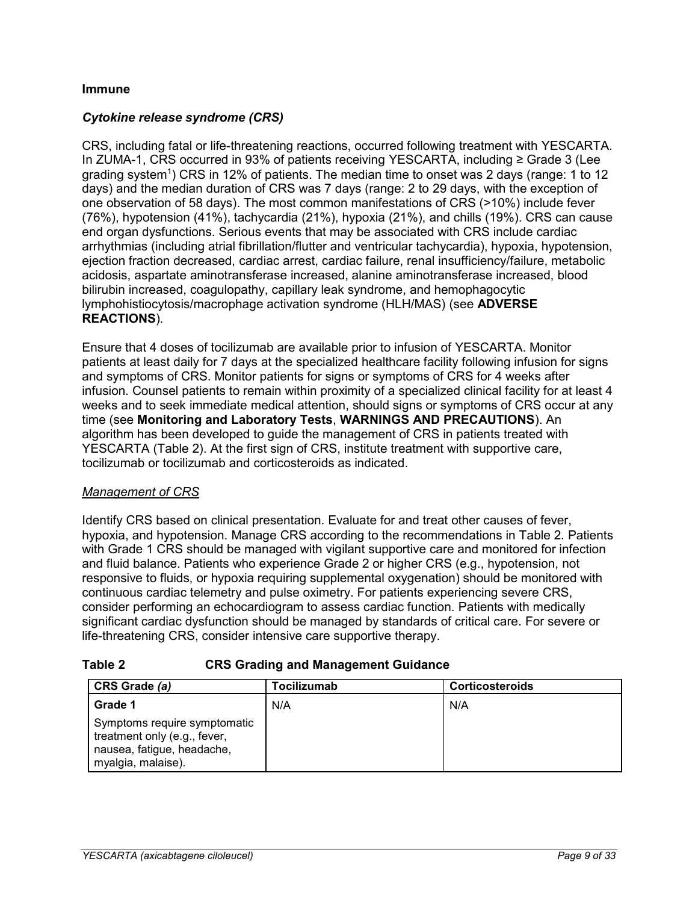## <span id="page-8-0"></span>**Immune**

## *Cytokine release syndrome (CRS)*

CRS, including fatal or life-threatening reactions, occurred following treatment with YESCARTA. In ZUMA-1, CRS occurred in 93% of patients receiving YESCARTA, including ≥ Grade 3 (Lee grading system<sup>1</sup>) CRS in 12% of patients. The median time to onset was 2 days (range: 1 to 12 days) and the median duration of CRS was 7 days (range: 2 to 29 days, with the exception of one observation of 58 days). The most common manifestations of CRS (>10%) include fever (76%), hypotension (41%), tachycardia (21%), hypoxia (21%), and chills (19%). CRS can cause end organ dysfunctions. Serious events that may be associated with CRS include cardiac arrhythmias (including atrial fibrillation/flutter and ventricular tachycardia), hypoxia, hypotension, ejection fraction decreased, cardiac arrest, cardiac failure, renal insufficiency/failure, metabolic acidosis, aspartate aminotransferase increased, alanine aminotransferase increased, blood bilirubin increased, coagulopathy, capillary leak syndrome, and hemophagocytic lymphohistiocytosis/macrophage activation syndrome (HLH/MAS) (see **ADVERSE REACTIONS**)*.* 

Ensure that 4 doses of tocilizumab are available prior to infusion of YESCARTA. Monitor patients at least daily for 7 days at the specialized healthcare facility following infusion for signs and symptoms of CRS. Monitor patients for signs or symptoms of CRS for 4 weeks after infusion. Counsel patients to remain within proximity of a specialized clinical facility for at least 4 weeks and to seek immediate medical attention, should signs or symptoms of CRS occur at any time (see **Monitoring and Laboratory Tests**, **WARNINGS AND PRECAUTIONS**). An algorithm has been developed to guide the management of CRS in patients treated with YESCARTA [\(Table 2\)](#page-8-1). At the first sign of CRS, institute treatment with supportive care, tocilizumab or tocilizumab and corticosteroids as indicated.

## *Management of CRS*

Identify CRS based on clinical presentation. Evaluate for and treat other causes of fever, hypoxia, and hypotension. Manage CRS according to the recommendations in [Table 2.](#page-8-1) Patients with Grade 1 CRS should be managed with vigilant supportive care and monitored for infection and fluid balance. Patients who experience Grade 2 or higher CRS (e.g., hypotension, not responsive to fluids, or hypoxia requiring supplemental oxygenation) should be monitored with continuous cardiac telemetry and pulse oximetry. For patients experiencing severe CRS, consider performing an echocardiogram to assess cardiac function. Patients with medically significant cardiac dysfunction should be managed by standards of critical care. For severe or life-threatening CRS, consider intensive care supportive therapy.

<span id="page-8-1"></span>

| Table 2 | <b>CRS Grading and Management Guidance</b> |
|---------|--------------------------------------------|
|---------|--------------------------------------------|

| CRS Grade (a)                                                                                                    | Tocilizumab | <b>Corticosteroids</b> |
|------------------------------------------------------------------------------------------------------------------|-------------|------------------------|
| Grade 1                                                                                                          | N/A         | N/A                    |
| Symptoms require symptomatic<br>treatment only (e.g., fever,<br>nausea, fatigue, headache,<br>myalgia, malaise). |             |                        |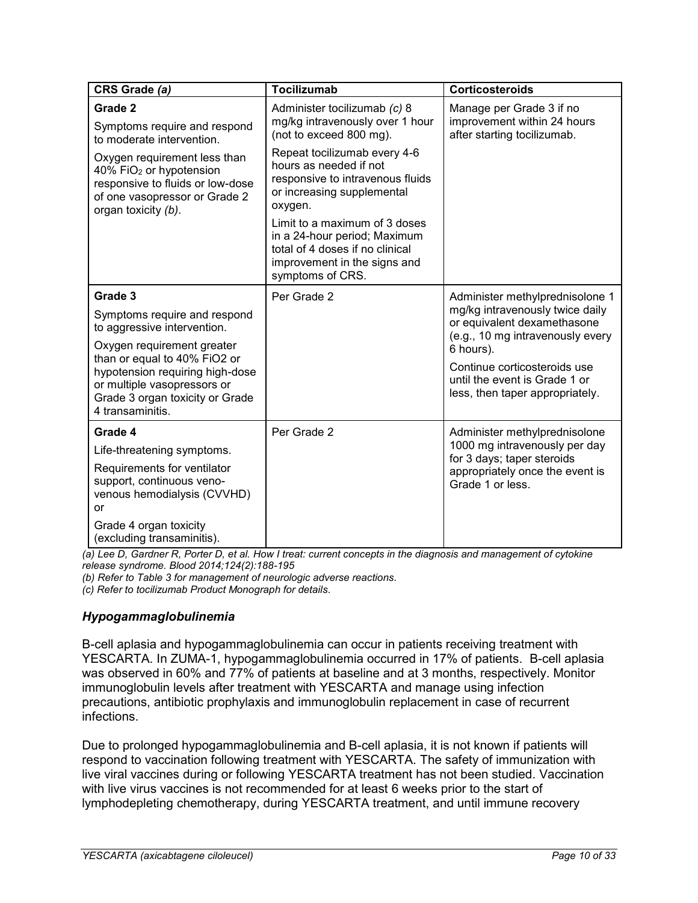| CRS Grade (a)                                                                                                                                                                                                                                                 | <b>Tocilizumab</b>                                                                                                                                                                                                                                                                                                                                                                        | <b>Corticosteroids</b>                                                                                                                                                                                                                                 |
|---------------------------------------------------------------------------------------------------------------------------------------------------------------------------------------------------------------------------------------------------------------|-------------------------------------------------------------------------------------------------------------------------------------------------------------------------------------------------------------------------------------------------------------------------------------------------------------------------------------------------------------------------------------------|--------------------------------------------------------------------------------------------------------------------------------------------------------------------------------------------------------------------------------------------------------|
| Grade 2<br>Symptoms require and respond<br>to moderate intervention.<br>Oxygen requirement less than<br>40% FiO <sub>2</sub> or hypotension<br>responsive to fluids or low-dose<br>of one vasopressor or Grade 2<br>organ toxicity (b).                       | Administer tocilizumab (c) 8<br>mg/kg intravenously over 1 hour<br>(not to exceed 800 mg).<br>Repeat tocilizumab every 4-6<br>hours as needed if not<br>responsive to intravenous fluids<br>or increasing supplemental<br>oxygen.<br>Limit to a maximum of 3 doses<br>in a 24-hour period; Maximum<br>total of 4 doses if no clinical<br>improvement in the signs and<br>symptoms of CRS. | Manage per Grade 3 if no<br>improvement within 24 hours<br>after starting tocilizumab.                                                                                                                                                                 |
| Grade 3<br>Symptoms require and respond<br>to aggressive intervention.<br>Oxygen requirement greater<br>than or equal to 40% FiO2 or<br>hypotension requiring high-dose<br>or multiple vasopressors or<br>Grade 3 organ toxicity or Grade<br>4 transaminitis. | Per Grade 2                                                                                                                                                                                                                                                                                                                                                                               | Administer methylprednisolone 1<br>mg/kg intravenously twice daily<br>or equivalent dexamethasone<br>(e.g., 10 mg intravenously every<br>6 hours).<br>Continue corticosteroids use<br>until the event is Grade 1 or<br>less, then taper appropriately. |
| Grade 4<br>Life-threatening symptoms.<br>Requirements for ventilator<br>support, continuous veno-<br>venous hemodialysis (CVVHD)<br>or<br>Grade 4 organ toxicity<br>(excluding transaminitis).                                                                | Per Grade 2                                                                                                                                                                                                                                                                                                                                                                               | Administer methylprednisolone<br>1000 mg intravenously per day<br>for 3 days; taper steroids<br>appropriately once the event is<br>Grade 1 or less.                                                                                                    |

*(a) Lee D, Gardner R, Porter D, et al. How I treat: current concepts in the diagnosis and management of cytokine release syndrome. Blood 2014;124(2):188-195*

*(b) Refer to Table 3 for management of neurologic adverse reactions.*

*(c) Refer to tocilizumab Product Monograph for details.*

## *Hypogammaglobulinemia*

B-cell aplasia and hypogammaglobulinemia can occur in patients receiving treatment with YESCARTA. In ZUMA-1, hypogammaglobulinemia occurred in 17% of patients. B-cell aplasia was observed in 60% and 77% of patients at baseline and at 3 months, respectively. Monitor immunoglobulin levels after treatment with YESCARTA and manage using infection precautions, antibiotic prophylaxis and immunoglobulin replacement in case of recurrent infections.

Due to prolonged hypogammaglobulinemia and B-cell aplasia, it is not known if patients will respond to vaccination following treatment with YESCARTA. The safety of immunization with live viral vaccines during or following YESCARTA treatment has not been studied. Vaccination with live virus vaccines is not recommended for at least 6 weeks prior to the start of lymphodepleting chemotherapy, during YESCARTA treatment, and until immune recovery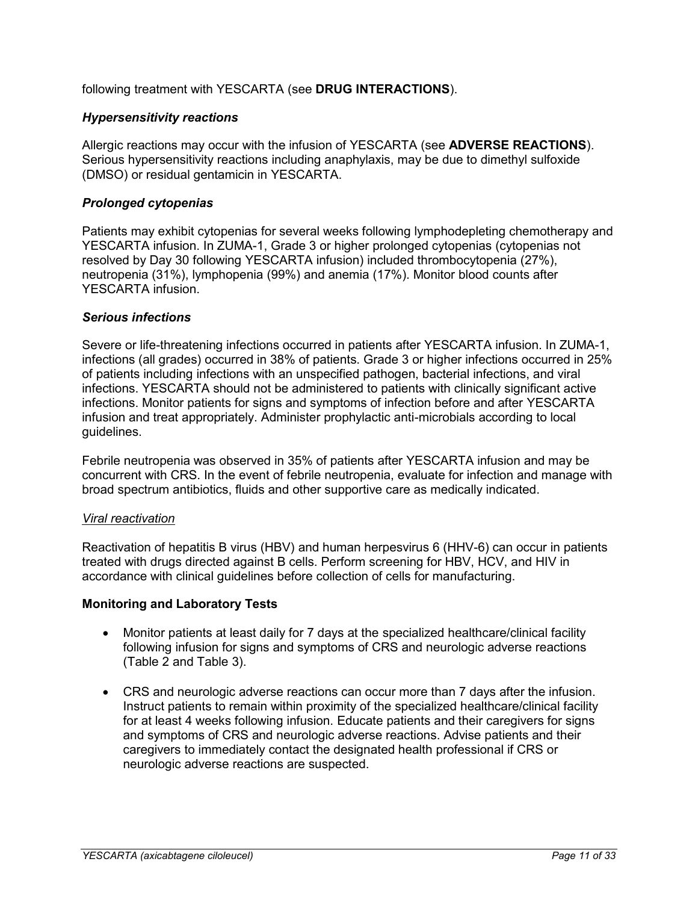following treatment with YESCARTA (see **DRUG INTERACTIONS**).

## *Hypersensitivity reactions*

Allergic reactions may occur with the infusion of YESCARTA (see **ADVERSE REACTIONS**). Serious hypersensitivity reactions including anaphylaxis, may be due to dimethyl sulfoxide (DMSO) or residual gentamicin in YESCARTA.

## *Prolonged cytopenias*

Patients may exhibit cytopenias for several weeks following lymphodepleting chemotherapy and YESCARTA infusion. In ZUMA-1, Grade 3 or higher prolonged cytopenias (cytopenias not resolved by Day 30 following YESCARTA infusion) included thrombocytopenia (27%), neutropenia (31%), lymphopenia (99%) and anemia (17%). Monitor blood counts after YESCARTA infusion.

## *Serious infections*

Severe or life-threatening infections occurred in patients after YESCARTA infusion. In ZUMA-1, infections (all grades) occurred in 38% of patients. Grade 3 or higher infections occurred in 25% of patients including infections with an unspecified pathogen, bacterial infections, and viral infections. YESCARTA should not be administered to patients with clinically significant active infections. Monitor patients for signs and symptoms of infection before and after YESCARTA infusion and treat appropriately. Administer prophylactic anti-microbials according to local guidelines.

Febrile neutropenia was observed in 35% of patients after YESCARTA infusion and may be concurrent with CRS. In the event of febrile neutropenia, evaluate for infection and manage with broad spectrum antibiotics, fluids and other supportive care as medically indicated.

## *Viral reactivation*

Reactivation of hepatitis B virus (HBV) and human herpesvirus 6 (HHV-6) can occur in patients treated with drugs directed against B cells. Perform screening for HBV, HCV, and HIV in accordance with clinical guidelines before collection of cells for manufacturing.

## <span id="page-10-0"></span>**Monitoring and Laboratory Tests**

- Monitor patients at least daily for 7 days at the specialized healthcare/clinical facility following infusion for signs and symptoms of CRS and neurologic adverse reactions [\(Table 2](#page-8-1) and [Table 3\)](#page-11-1).
- CRS and neurologic adverse reactions can occur more than 7 days after the infusion. Instruct patients to remain within proximity of the specialized healthcare/clinical facility for at least 4 weeks following infusion. Educate patients and their caregivers for signs and symptoms of CRS and neurologic adverse reactions. Advise patients and their caregivers to immediately contact the designated health professional if CRS or neurologic adverse reactions are suspected.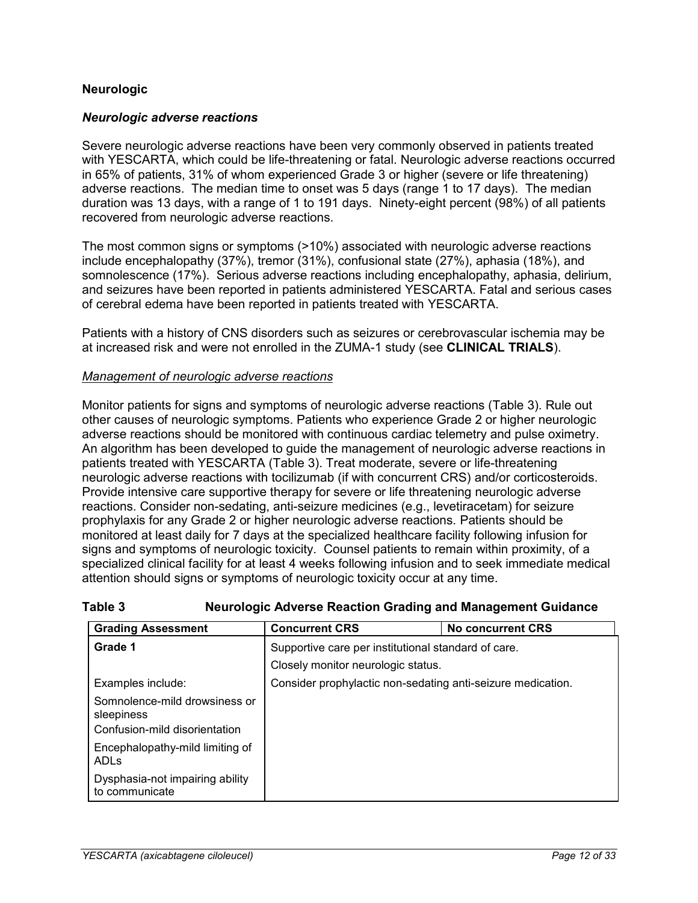## <span id="page-11-0"></span>**Neurologic**

#### *Neurologic adverse reactions*

Severe neurologic adverse reactions have been very commonly observed in patients treated with YESCARTA, which could be life-threatening or fatal. Neurologic adverse reactions occurred in 65% of patients, 31% of whom experienced Grade 3 or higher (severe or life threatening) adverse reactions. The median time to onset was 5 days (range 1 to 17 days). The median duration was 13 days, with a range of 1 to 191 days. Ninety-eight percent (98%) of all patients recovered from neurologic adverse reactions.

The most common signs or symptoms (>10%) associated with neurologic adverse reactions include encephalopathy (37%), tremor (31%), confusional state (27%), aphasia (18%), and somnolescence (17%). Serious adverse reactions including encephalopathy, aphasia, delirium, and seizures have been reported in patients administered YESCARTA. Fatal and serious cases of cerebral edema have been reported in patients treated with YESCARTA.

Patients with a history of CNS disorders such as seizures or cerebrovascular ischemia may be at increased risk and were not enrolled in the ZUMA-1 study (see **CLINICAL TRIALS**).

#### *Management of neurologic adverse reactions*

Monitor patients for signs and symptoms of neurologic adverse reactions [\(Table 3\)](#page-11-1). Rule out other causes of neurologic symptoms. Patients who experience Grade 2 or higher neurologic adverse reactions should be monitored with continuous cardiac telemetry and pulse oximetry. An algorithm has been developed to guide the management of neurologic adverse reactions in patients treated with YESCARTA [\(Table 3\)](#page-11-1). Treat moderate, severe or life-threatening neurologic adverse reactions with tocilizumab (if with concurrent CRS) and/or corticosteroids. Provide intensive care supportive therapy for severe or life threatening neurologic adverse reactions. Consider non-sedating, anti-seizure medicines (e.g., levetiracetam) for seizure prophylaxis for any Grade 2 or higher neurologic adverse reactions. Patients should be monitored at least daily for 7 days at the specialized healthcare facility following infusion for signs and symptoms of neurologic toxicity. Counsel patients to remain within proximity, of a specialized clinical facility for at least 4 weeks following infusion and to seek immediate medical attention should signs or symptoms of neurologic toxicity occur at any time.

| <b>Grading Assessment</b>                           | <b>Concurrent CRS</b>                                       | <b>No concurrent CRS</b> |
|-----------------------------------------------------|-------------------------------------------------------------|--------------------------|
| Grade 1                                             | Supportive care per institutional standard of care.         |                          |
|                                                     | Closely monitor neurologic status.                          |                          |
| Examples include:                                   | Consider prophylactic non-sedating anti-seizure medication. |                          |
| Somnolence-mild drowsiness or<br>sleepiness         |                                                             |                          |
| Confusion-mild disorientation                       |                                                             |                          |
| Encephalopathy-mild limiting of<br>ADL <sub>S</sub> |                                                             |                          |
| Dysphasia-not impairing ability<br>to communicate   |                                                             |                          |

#### <span id="page-11-1"></span>**Table 3 Neurologic Adverse Reaction Grading and Management Guidance**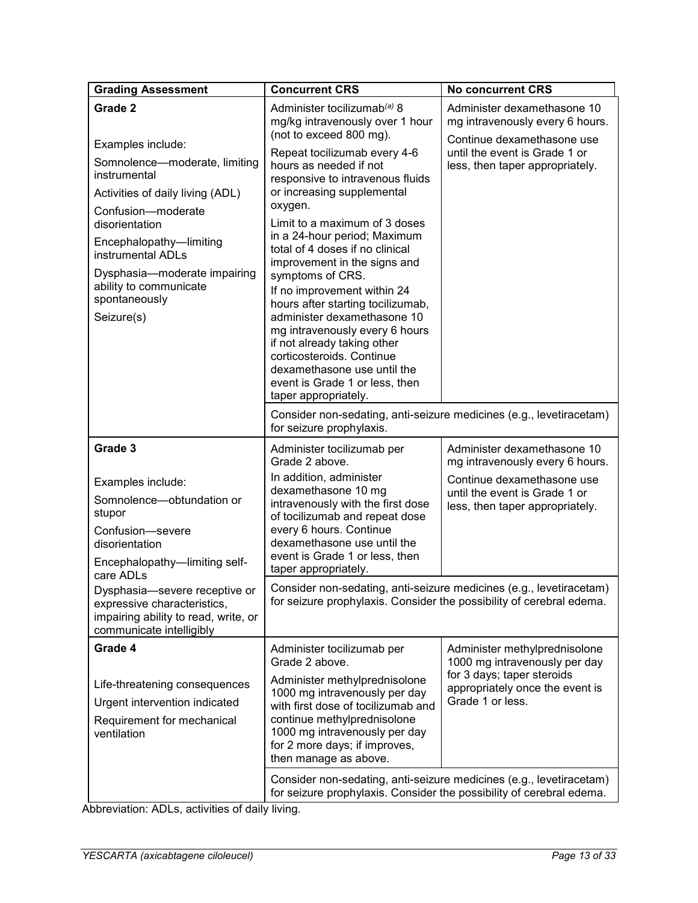| <b>Grading Assessment</b>                                                                                                                                                                                                                                                                          | <b>Concurrent CRS</b>                                                                                                                                                                                                                                                                                                                                                                                                                                                                                                                                                                                                                                                                          | <b>No concurrent CRS</b>                                                                                                                                         |  |
|----------------------------------------------------------------------------------------------------------------------------------------------------------------------------------------------------------------------------------------------------------------------------------------------------|------------------------------------------------------------------------------------------------------------------------------------------------------------------------------------------------------------------------------------------------------------------------------------------------------------------------------------------------------------------------------------------------------------------------------------------------------------------------------------------------------------------------------------------------------------------------------------------------------------------------------------------------------------------------------------------------|------------------------------------------------------------------------------------------------------------------------------------------------------------------|--|
| Grade 2<br>Examples include:<br>Somnolence-moderate, limiting<br>instrumental<br>Activities of daily living (ADL)<br>Confusion-moderate<br>disorientation<br>Encephalopathy-limiting<br>instrumental ADLs<br>Dysphasia-moderate impairing<br>ability to communicate<br>spontaneously<br>Seizure(s) | Administer tocilizumab <sup>(a)</sup> 8<br>mg/kg intravenously over 1 hour<br>(not to exceed 800 mg).<br>Repeat tocilizumab every 4-6<br>hours as needed if not<br>responsive to intravenous fluids<br>or increasing supplemental<br>oxygen.<br>Limit to a maximum of 3 doses<br>in a 24-hour period; Maximum<br>total of 4 doses if no clinical<br>improvement in the signs and<br>symptoms of CRS.<br>If no improvement within 24<br>hours after starting tocilizumab,<br>administer dexamethasone 10<br>mg intravenously every 6 hours<br>if not already taking other<br>corticosteroids, Continue<br>dexamethasone use until the<br>event is Grade 1 or less, then<br>taper appropriately. | Administer dexamethasone 10<br>mg intravenously every 6 hours.<br>Continue dexamethasone use<br>until the event is Grade 1 or<br>less, then taper appropriately. |  |
|                                                                                                                                                                                                                                                                                                    | Consider non-sedating, anti-seizure medicines (e.g., levetiracetam)<br>for seizure prophylaxis.                                                                                                                                                                                                                                                                                                                                                                                                                                                                                                                                                                                                |                                                                                                                                                                  |  |
| Grade 3<br>Examples include:                                                                                                                                                                                                                                                                       | Administer tocilizumab per<br>Grade 2 above.<br>In addition, administer                                                                                                                                                                                                                                                                                                                                                                                                                                                                                                                                                                                                                        | Administer dexamethasone 10<br>mg intravenously every 6 hours.<br>Continue dexamethasone use                                                                     |  |
| Somnolence-obtundation or<br>stupor<br>Confusion-severe<br>disorientation<br>Encephalopathy-limiting self-<br>care ADLs                                                                                                                                                                            | dexamethasone 10 mg<br>intravenously with the first dose<br>of tocilizumab and repeat dose<br>every 6 hours. Continue<br>dexamethasone use until the<br>event is Grade 1 or less, then<br>taper appropriately.                                                                                                                                                                                                                                                                                                                                                                                                                                                                                 | until the event is Grade 1 or<br>less, then taper appropriately.                                                                                                 |  |
| Dysphasia-severe receptive or<br>expressive characteristics,<br>impairing ability to read, write, or<br>communicate intelligibly                                                                                                                                                                   |                                                                                                                                                                                                                                                                                                                                                                                                                                                                                                                                                                                                                                                                                                | Consider non-sedating, anti-seizure medicines (e.g., levetiracetam)<br>for seizure prophylaxis. Consider the possibility of cerebral edema.                      |  |
| Grade 4                                                                                                                                                                                                                                                                                            | Administer tocilizumab per<br>Grade 2 above.                                                                                                                                                                                                                                                                                                                                                                                                                                                                                                                                                                                                                                                   | Administer methylprednisolone<br>1000 mg intravenously per day                                                                                                   |  |
| Life-threatening consequences<br>Urgent intervention indicated<br>Requirement for mechanical<br>ventilation                                                                                                                                                                                        | Administer methylprednisolone<br>1000 mg intravenously per day<br>with first dose of tocilizumab and<br>continue methylprednisolone<br>1000 mg intravenously per day<br>for 2 more days; if improves,<br>then manage as above.                                                                                                                                                                                                                                                                                                                                                                                                                                                                 | for 3 days; taper steroids<br>appropriately once the event is<br>Grade 1 or less.                                                                                |  |
|                                                                                                                                                                                                                                                                                                    | Consider non-sedating, anti-seizure medicines (e.g., levetiracetam)<br>for seizure prophylaxis. Consider the possibility of cerebral edema.                                                                                                                                                                                                                                                                                                                                                                                                                                                                                                                                                    |                                                                                                                                                                  |  |

Abbreviation: ADLs, activities of daily living.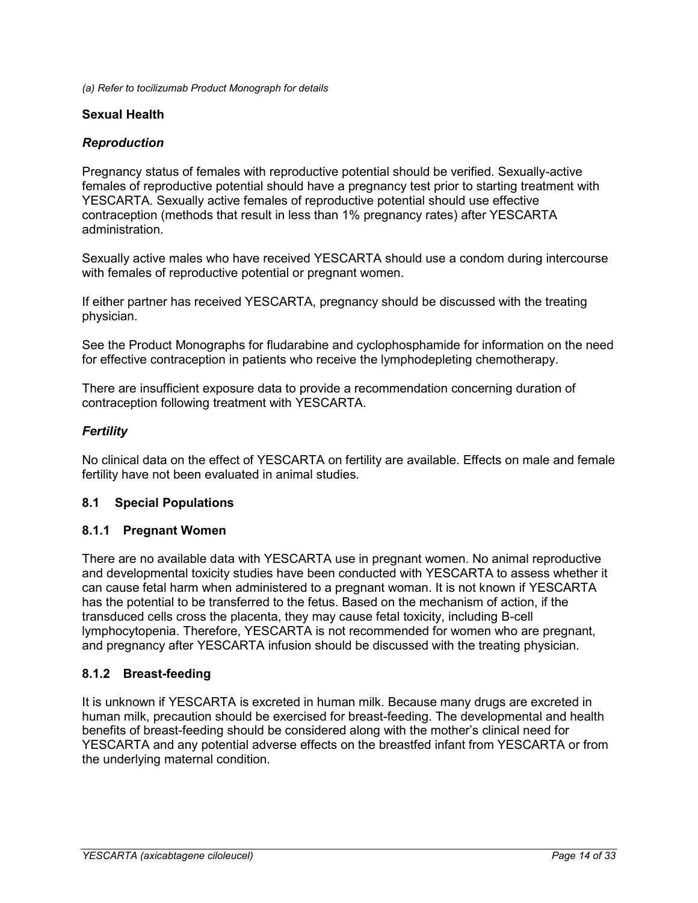<span id="page-13-0"></span>*(a) Refer to tocilizumab Product Monograph for details*

#### **Sexual Health**

## *Reproduction*

Pregnancy status of females with reproductive potential should be verified. Sexually-active females of reproductive potential should have a pregnancy test prior to starting treatment with YESCARTA. Sexually active females of reproductive potential should use effective contraception (methods that result in less than 1% pregnancy rates) after YESCARTA administration.

Sexually active males who have received YESCARTA should use a condom during intercourse with females of reproductive potential or pregnant women.

If either partner has received YESCARTA, pregnancy should be discussed with the treating physician.

See the Product Monographs for fludarabine and cyclophosphamide for information on the need for effective contraception in patients who receive the lymphodepleting chemotherapy.

There are insufficient exposure data to provide a recommendation concerning duration of contraception following treatment with YESCARTA.

## *Fertility*

No clinical data on the effect of YESCARTA on fertility are available. Effects on male and female fertility have not been evaluated in animal studies.

## <span id="page-13-1"></span>**8.1 Special Populations**

## <span id="page-13-2"></span>**8.1.1 Pregnant Women**

There are no available data with YESCARTA use in pregnant women. No animal reproductive and developmental toxicity studies have been conducted with YESCARTA to assess whether it can cause fetal harm when administered to a pregnant woman. It is not known if YESCARTA has the potential to be transferred to the fetus. Based on the mechanism of action, if the transduced cells cross the placenta, they may cause fetal toxicity, including B-cell lymphocytopenia. Therefore, YESCARTA is not recommended for women who are pregnant, and pregnancy after YESCARTA infusion should be discussed with the treating physician.

## <span id="page-13-3"></span>**8.1.2 Breast-feeding**

It is unknown if YESCARTA is excreted in human milk. Because many drugs are excreted in human milk, precaution should be exercised for breast-feeding. The developmental and health benefits of breast-feeding should be considered along with the mother's clinical need for YESCARTA and any potential adverse effects on the breastfed infant from YESCARTA or from the underlying maternal condition.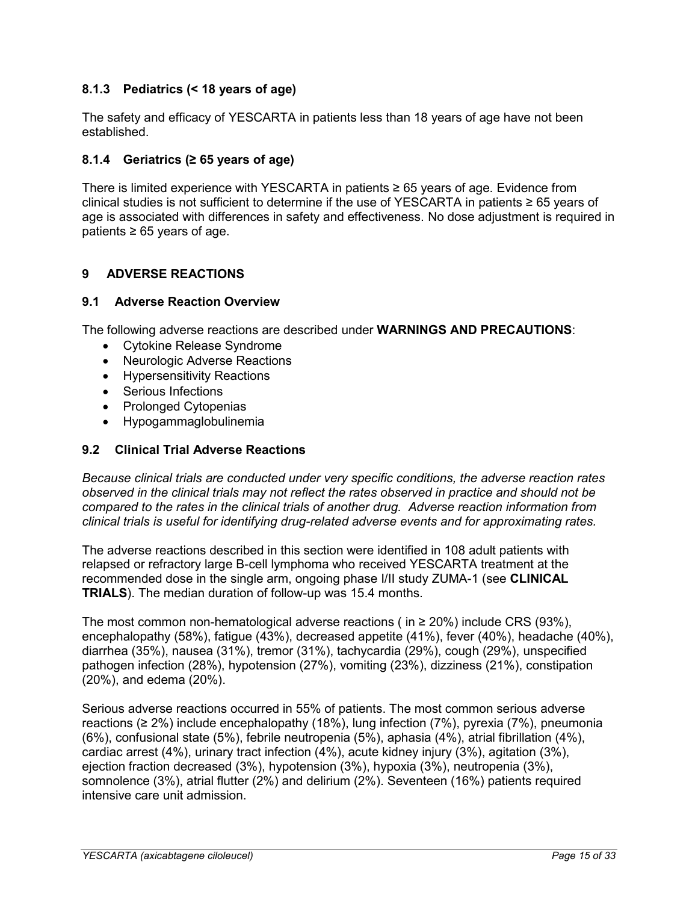## <span id="page-14-0"></span>**8.1.3 Pediatrics (< 18 years of age)**

The safety and efficacy of YESCARTA in patients less than 18 years of age have not been established.

## <span id="page-14-1"></span>**8.1.4 Geriatrics (≥ 65 years of age)**

There is limited experience with YESCARTA in patients ≥ 65 years of age. Evidence from clinical studies is not sufficient to determine if the use of YESCARTA in patients  $\geq 65$  years of age is associated with differences in safety and effectiveness. No dose adjustment is required in patients ≥ 65 years of age.

## <span id="page-14-2"></span>**9 ADVERSE REACTIONS**

#### <span id="page-14-3"></span>**9.1 Adverse Reaction Overview**

The following adverse reactions are described under **WARNINGS AND PRECAUTIONS**:

- Cytokine Release Syndrome
- Neurologic Adverse Reactions
- Hypersensitivity Reactions
- Serious Infections
- Prolonged Cytopenias
- Hypogammaglobulinemia

## <span id="page-14-4"></span>**9.2 Clinical Trial Adverse Reactions**

*Because clinical trials are conducted under very specific conditions, the adverse reaction rates observed in the clinical trials may not reflect the rates observed in practice and should not be compared to the rates in the clinical trials of another drug. Adverse reaction information from clinical trials is useful for identifying drug-related adverse events and for approximating rates.*

The adverse reactions described in this section were identified in 108 adult patients with relapsed or refractory large B-cell lymphoma who received YESCARTA treatment at the recommended dose in the single arm, ongoing phase I/II study ZUMA-1 (see **CLINICAL TRIALS**). The median duration of follow-up was 15.4 months.

The most common non-hematological adverse reactions ( in  $\geq$  20%) include CRS (93%), encephalopathy (58%), fatigue (43%), decreased appetite (41%), fever (40%), headache (40%), diarrhea (35%), nausea (31%), tremor (31%), tachycardia (29%), cough (29%), unspecified pathogen infection (28%), hypotension (27%), vomiting (23%), dizziness (21%), constipation (20%), and edema (20%).

Serious adverse reactions occurred in 55% of patients. The most common serious adverse reactions ( $\geq 2\%$ ) include encephalopathy (18%), lung infection (7%), pyrexia (7%), pneumonia (6%), confusional state (5%), febrile neutropenia (5%), aphasia (4%), atrial fibrillation (4%), cardiac arrest (4%), urinary tract infection (4%), acute kidney injury (3%), agitation (3%), ejection fraction decreased (3%), hypotension (3%), hypoxia (3%), neutropenia (3%), somnolence (3%), atrial flutter (2%) and delirium (2%). Seventeen (16%) patients required intensive care unit admission.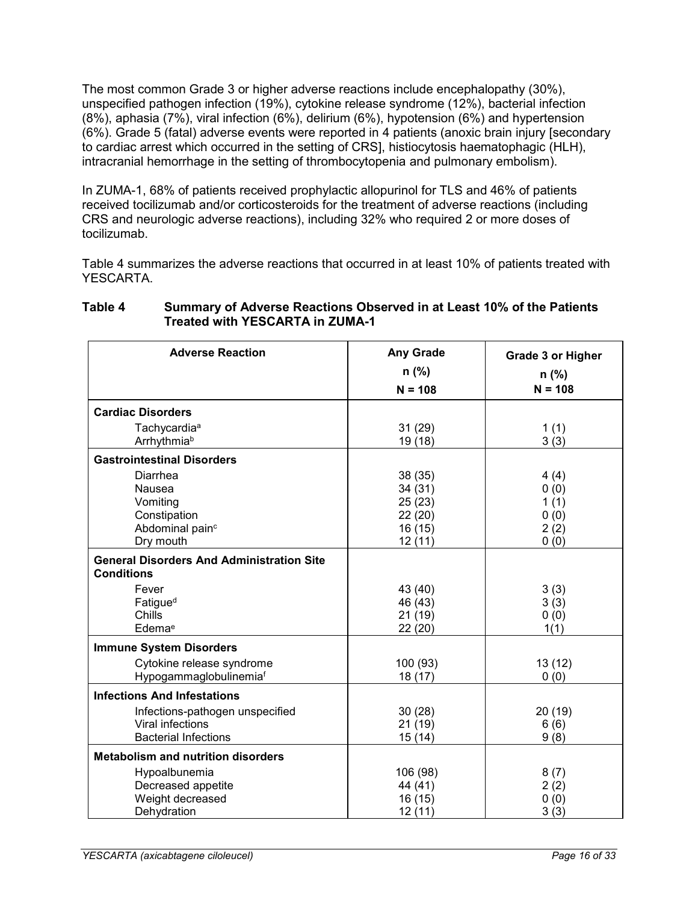The most common Grade 3 or higher adverse reactions include encephalopathy (30%), unspecified pathogen infection (19%), cytokine release syndrome (12%), bacterial infection (8%), aphasia (7%), viral infection (6%), delirium (6%), hypotension (6%) and hypertension (6%). Grade 5 (fatal) adverse events were reported in 4 patients (anoxic brain injury [secondary to cardiac arrest which occurred in the setting of CRS], histiocytosis haematophagic (HLH), intracranial hemorrhage in the setting of thrombocytopenia and pulmonary embolism).

In ZUMA-1, 68% of patients received prophylactic allopurinol for TLS and 46% of patients received tocilizumab and/or corticosteroids for the treatment of adverse reactions (including CRS and neurologic adverse reactions), including 32% who required 2 or more doses of tocilizumab.

[Table 4](#page-15-0) summarizes the adverse reactions that occurred in at least 10% of patients treated with YESCARTA.

| <b>Adverse Reaction</b>                                               | <b>Any Grade</b> | <b>Grade 3 or Higher</b> |
|-----------------------------------------------------------------------|------------------|--------------------------|
|                                                                       | $n$ (%)          | $n$ (%)                  |
|                                                                       | $N = 108$        | $N = 108$                |
| <b>Cardiac Disorders</b>                                              |                  |                          |
| Tachycardia <sup>a</sup>                                              | 31(29)           | 1(1)                     |
| Arrhythmiab                                                           | 19 (18)          | 3(3)                     |
| <b>Gastrointestinal Disorders</b>                                     |                  |                          |
| Diarrhea                                                              | 38 (35)          | 4(4)                     |
| Nausea                                                                | 34 (31)          | 0(0)                     |
| Vomiting                                                              | 25(23)           | 1(1)                     |
| Constipation                                                          | 22(20)           | 0(0)                     |
| Abdominal pain <sup>c</sup>                                           | 16(15)           | 2(2)                     |
| Dry mouth                                                             | 12(11)           | 0(0)                     |
| <b>General Disorders And Administration Site</b><br><b>Conditions</b> |                  |                          |
| Fever                                                                 | 43 (40)          | 3(3)                     |
| Fatigue <sup>d</sup>                                                  | 46 (43)          | 3(3)                     |
| Chills                                                                | 21 (19)          | 0(0)                     |
| Edemae                                                                | 22(20)           | 1(1)                     |
| <b>Immune System Disorders</b>                                        |                  |                          |
| Cytokine release syndrome                                             | 100 (93)         | 13(12)                   |
| Hypogammaglobulinemiaf                                                | 18(17)           | 0(0)                     |
| <b>Infections And Infestations</b>                                    |                  |                          |
| Infections-pathogen unspecified                                       | 30(28)           | 20(19)                   |
| Viral infections                                                      | 21(19)           | 6(6)                     |
| <b>Bacterial Infections</b>                                           | 15(14)           | 9(8)                     |
| <b>Metabolism and nutrition disorders</b>                             |                  |                          |
| Hypoalbunemia                                                         | 106 (98)         | 8(7)                     |
| Decreased appetite                                                    | 44 (41)          | 2(2)                     |
| Weight decreased                                                      | 16(15)           | 0(0)                     |
| Dehydration                                                           | 12(11)           | 3(3)                     |

#### <span id="page-15-0"></span>**Table 4 Summary of Adverse Reactions Observed in at Least 10% of the Patients Treated with YESCARTA in ZUMA-1**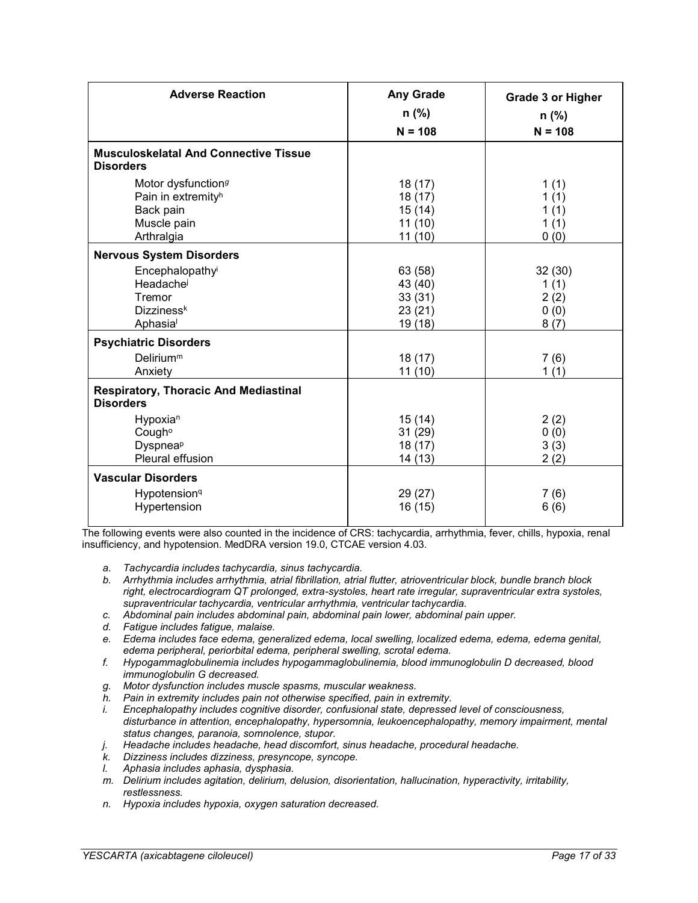| <b>Adverse Reaction</b>                                                                                    | <b>Any Grade</b><br>$n$ (%)                       | <b>Grade 3 or Higher</b><br>n (%)      |
|------------------------------------------------------------------------------------------------------------|---------------------------------------------------|----------------------------------------|
|                                                                                                            | $N = 108$                                         | $N = 108$                              |
| <b>Musculoskelatal And Connective Tissue</b><br><b>Disorders</b>                                           |                                                   |                                        |
| Motor dysfunction <sup>g</sup><br>Pain in extremity <sup>h</sup><br>Back pain<br>Muscle pain<br>Arthralgia | 18 (17)<br>18 (17)<br>15(14)<br>11(10)<br>11(10)  | 1(1)<br>1(1)<br>1(1)<br>1(1)<br>0(0)   |
| <b>Nervous System Disorders</b>                                                                            |                                                   |                                        |
| Encephalopathy<br>Headache<br>Tremor<br>Dizziness <sup>k</sup><br>Aphasia                                  | 63 (58)<br>43 (40)<br>33(31)<br>23(21)<br>19 (18) | 32(30)<br>1(1)<br>2(2)<br>0(0)<br>8(7) |
| <b>Psychiatric Disorders</b><br>$D$ elirium <sup>m</sup><br>Anxiety                                        | 18(17)<br>11(10)                                  | 7(6)<br>1(1)                           |
| <b>Respiratory, Thoracic And Mediastinal</b><br><b>Disorders</b>                                           |                                                   |                                        |
| Hypoxia <sup>n</sup><br>Cough <sup>o</sup><br>Dyspnea <sup>p</sup><br>Pleural effusion                     | 15(14)<br>31(29)<br>18(17)<br>14(13)              | 2(2)<br>0(0)<br>3(3)<br>2(2)           |
| <b>Vascular Disorders</b><br>Hypotension <sup>q</sup><br>Hypertension                                      | 29 (27)<br>16(15)                                 | 7(6)<br>6(6)                           |

The following events were also counted in the incidence of CRS: tachycardia, arrhythmia, fever, chills, hypoxia, renal insufficiency, and hypotension. MedDRA version 19.0, CTCAE version 4.03.

- *a. Tachycardia includes tachycardia, sinus tachycardia.*
- *b. Arrhythmia includes arrhythmia, atrial fibrillation, atrial flutter, atrioventricular block, bundle branch block right, electrocardiogram QT prolonged, extra-systoles, heart rate irregular, supraventricular extra systoles, supraventricular tachycardia, ventricular arrhythmia, ventricular tachycardia.*
- *c. Abdominal pain includes abdominal pain, abdominal pain lower, abdominal pain upper.*
- *d. Fatigue includes fatigue, malaise.*
- *e. Edema includes face edema, generalized edema, local swelling, localized edema, edema, edema genital, edema peripheral, periorbital edema, peripheral swelling, scrotal edema.*
- *f. Hypogammaglobulinemia includes hypogammaglobulinemia, blood immunoglobulin D decreased, blood immunoglobulin G decreased.*
- *g. Motor dysfunction includes muscle spasms, muscular weakness.*
- *h. Pain in extremity includes pain not otherwise specified, pain in extremity.*
- *i. Encephalopathy includes cognitive disorder, confusional state, depressed level of consciousness, disturbance in attention, encephalopathy, hypersomnia, leukoencephalopathy, memory impairment, mental status changes, paranoia, somnolence, stupor.*
- *j. Headache includes headache, head discomfort, sinus headache, procedural headache.*
- *k. Dizziness includes dizziness, presyncope, syncope.*
- *l. Aphasia includes aphasia, dysphasia.*
- *m. Delirium includes agitation, delirium, delusion, disorientation, hallucination, hyperactivity, irritability, restlessness.*
- *n. Hypoxia includes hypoxia, oxygen saturation decreased.*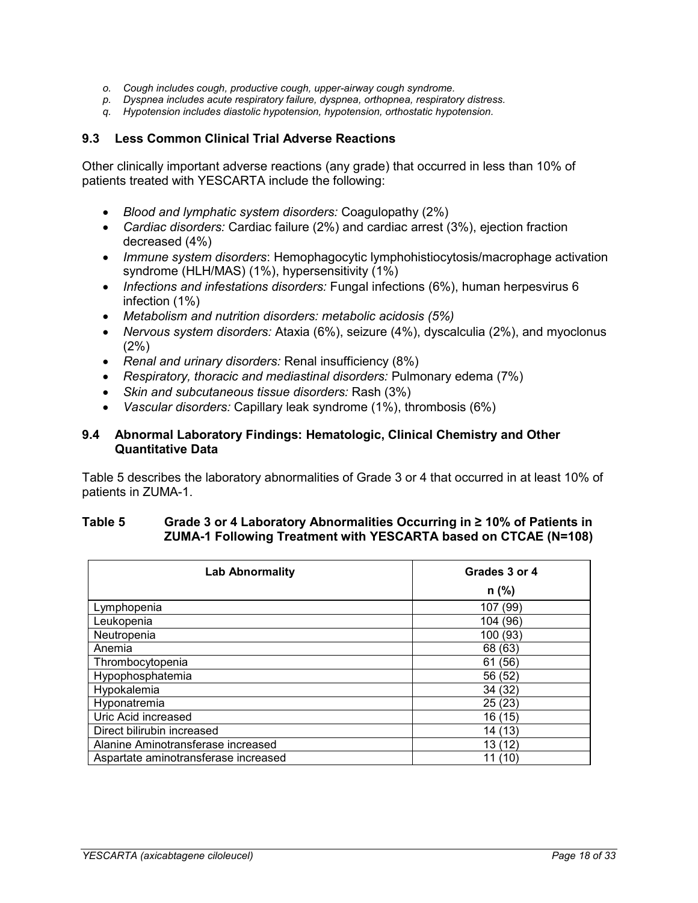- *o. Cough includes cough, productive cough, upper-airway cough syndrome.*
- *p. Dyspnea includes acute respiratory failure, dyspnea, orthopnea, respiratory distress.*
- *q. Hypotension includes diastolic hypotension, hypotension, orthostatic hypotension.*

## <span id="page-17-0"></span>**9.3 Less Common Clinical Trial Adverse Reactions**

Other clinically important adverse reactions (any grade) that occurred in less than 10% of patients treated with YESCARTA include the following:

- *Blood and lymphatic system disorders:* Coagulopathy (2%)
- *Cardiac disorders:* Cardiac failure (2%) and cardiac arrest (3%), ejection fraction decreased (4%)
- *Immune system disorders*: Hemophagocytic lymphohistiocytosis/macrophage activation syndrome (HLH/MAS) (1%), hypersensitivity (1%)
- *Infections and infestations disorders:* Fungal infections (6%), human herpesvirus 6 infection (1%)
- *Metabolism and nutrition disorders: metabolic acidosis (5%)*
- *Nervous system disorders:* Ataxia (6%), seizure (4%), dyscalculia (2%), and myoclonus  $(2%)$
- *Renal and urinary disorders:* Renal insufficiency (8%)
- *Respiratory, thoracic and mediastinal disorders:* Pulmonary edema (7%)
- *Skin and subcutaneous tissue disorders:* Rash (3%)
- *Vascular disorders:* Capillary leak syndrome (1%), thrombosis (6%)

#### <span id="page-17-1"></span>**9.4 Abnormal Laboratory Findings: Hematologic, Clinical Chemistry and Other Quantitative Data**

[Table 5](#page-17-2) describes the laboratory abnormalities of Grade 3 or 4 that occurred in at least 10% of patients in ZUMA-1.

#### <span id="page-17-2"></span>**Table 5 Grade 3 or 4 Laboratory Abnormalities Occurring in ≥ 10% of Patients in ZUMA-1 Following Treatment with YESCARTA based on CTCAE (N=108)**

| <b>Lab Abnormality</b>               | Grades 3 or 4 |
|--------------------------------------|---------------|
|                                      | $n$ (%)       |
| Lymphopenia                          | 107 (99)      |
| Leukopenia                           | 104 (96)      |
| Neutropenia                          | 100 (93)      |
| Anemia                               | 68 (63)       |
| Thrombocytopenia                     | 61 (56)       |
| Hypophosphatemia                     | 56 (52)       |
| Hypokalemia                          | 34 (32)       |
| Hyponatremia                         | 25(23)        |
| Uric Acid increased                  | 16 (15)       |
| Direct bilirubin increased           | 14 (13)       |
| Alanine Aminotransferase increased   | 13 (12)       |
| Aspartate aminotransferase increased | 11 (10)       |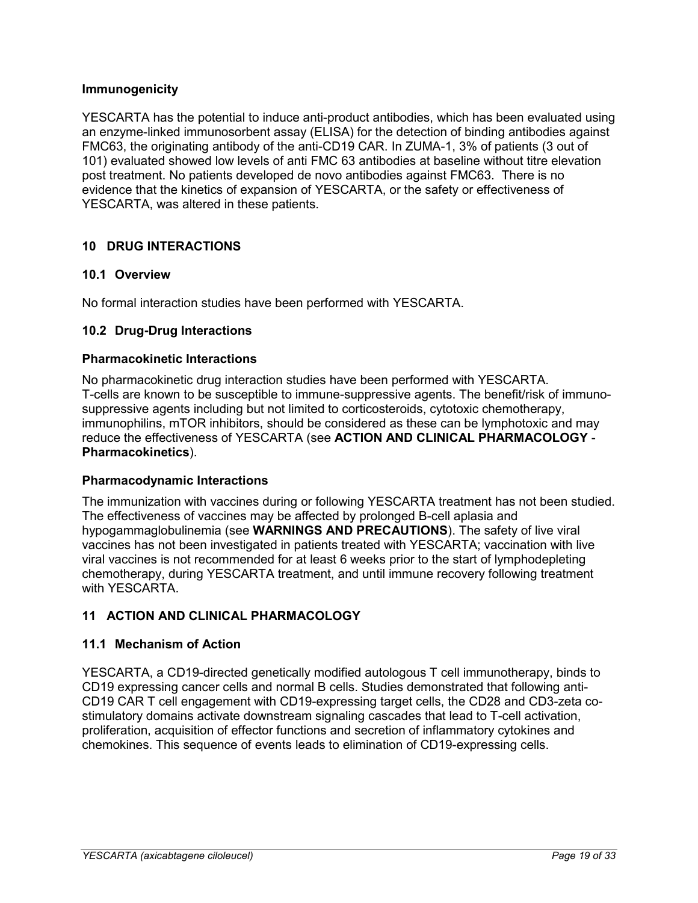## **Immunogenicity**

YESCARTA has the potential to induce anti-product antibodies, which has been evaluated using an enzyme-linked immunosorbent assay (ELISA) for the detection of binding antibodies against FMC63, the originating antibody of the anti-CD19 CAR. In ZUMA-1, 3% of patients (3 out of 101) evaluated showed low levels of anti FMC 63 antibodies at baseline without titre elevation post treatment. No patients developed de novo antibodies against FMC63. There is no evidence that the kinetics of expansion of YESCARTA, or the safety or effectiveness of YESCARTA, was altered in these patients.

## <span id="page-18-0"></span>**10 DRUG INTERACTIONS**

## <span id="page-18-1"></span>**10.1 Overview**

No formal interaction studies have been performed with YESCARTA.

#### <span id="page-18-2"></span>**10.2 Drug-Drug Interactions**

#### **Pharmacokinetic Interactions**

No pharmacokinetic drug interaction studies have been performed with YESCARTA. T-cells are known to be susceptible to immune-suppressive agents. The benefit/risk of immunosuppressive agents including but not limited to corticosteroids, cytotoxic chemotherapy, immunophilins, mTOR inhibitors, should be considered as these can be lymphotoxic and may reduce the effectiveness of YESCARTA (see **ACTION AND CLINICAL PHARMACOLOGY** - **Pharmacokinetics**).

## **Pharmacodynamic Interactions**

The immunization with vaccines during or following YESCARTA treatment has not been studied. The effectiveness of vaccines may be affected by prolonged B-cell aplasia and hypogammaglobulinemia (see **WARNINGS AND PRECAUTIONS**). The safety of live viral vaccines has not been investigated in patients treated with YESCARTA; vaccination with live viral vaccines is not recommended for at least 6 weeks prior to the start of lymphodepleting chemotherapy, during YESCARTA treatment, and until immune recovery following treatment with YESCARTA.

## <span id="page-18-3"></span>**11 ACTION AND CLINICAL PHARMACOLOGY**

## <span id="page-18-4"></span>**11.1 Mechanism of Action**

YESCARTA, a CD19-directed genetically modified autologous T cell immunotherapy, binds to CD19 expressing cancer cells and normal B cells. Studies demonstrated that following anti-CD19 CAR T cell engagement with CD19-expressing target cells, the CD28 and CD3-zeta costimulatory domains activate downstream signaling cascades that lead to T-cell activation, proliferation, acquisition of effector functions and secretion of inflammatory cytokines and chemokines. This sequence of events leads to elimination of CD19-expressing cells.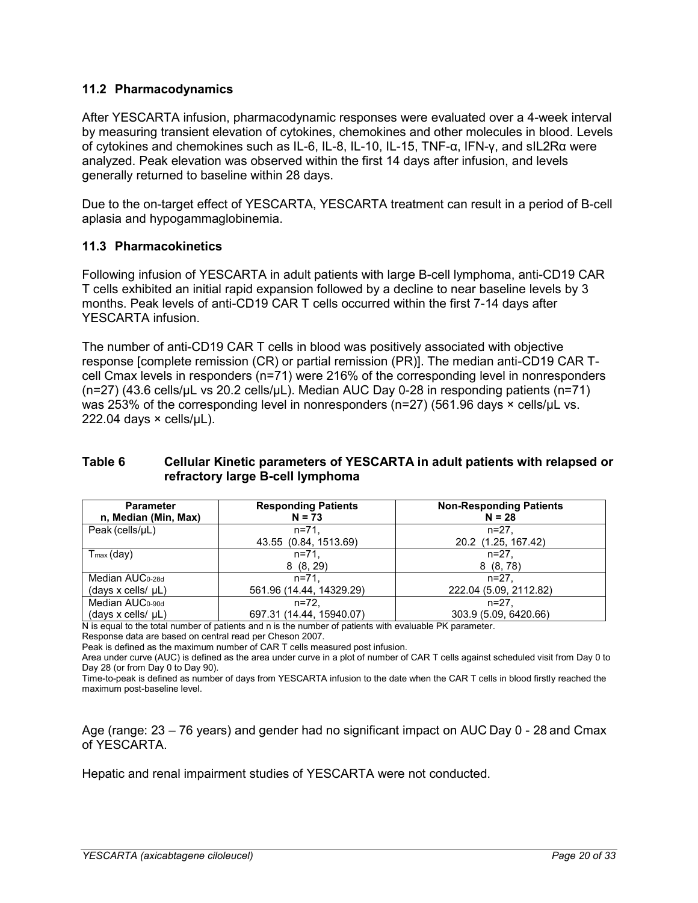## <span id="page-19-0"></span>**11.2 Pharmacodynamics**

After YESCARTA infusion, pharmacodynamic responses were evaluated over a 4-week interval by measuring transient elevation of cytokines, chemokines and other molecules in blood. Levels of cytokines and chemokines such as IL-6, IL-8, IL-10, IL-15, TNF-α, IFN-γ, and sIL2Rα were analyzed. Peak elevation was observed within the first 14 days after infusion, and levels generally returned to baseline within 28 days.

Due to the on-target effect of YESCARTA, YESCARTA treatment can result in a period of B-cell aplasia and hypogammaglobinemia.

## <span id="page-19-1"></span>**11.3 Pharmacokinetics**

Following infusion of YESCARTA in adult patients with large B-cell lymphoma, anti-CD19 CAR T cells exhibited an initial rapid expansion followed by a decline to near baseline levels by 3 months. Peak levels of anti-CD19 CAR T cells occurred within the first 7-14 days after YESCARTA infusion.

The number of anti-CD19 CAR T cells in blood was positively associated with objective response [complete remission (CR) or partial remission (PR)]. The median anti-CD19 CAR Tcell Cmax levels in responders (n=71) were 216% of the corresponding level in nonresponders (n=27) (43.6 cells/μL vs 20.2 cells/μL). Median AUC Day 0-28 in responding patients (n=71) was 253% of the corresponding level in nonresponders ( $n=27$ ) (561.96 days  $\times$  cells/ $\mu$ L vs.  $222.04$  days  $\times$  cells/ $\mu$ L).

## **Table 6 Cellular Kinetic parameters of YESCARTA in adult patients with relapsed or refractory large B-cell lymphoma**

| <b>Parameter</b><br>n, Median (Min, Max)                     | <b>Responding Patients</b><br>$N = 73$ | <b>Non-Responding Patients</b><br>$N = 28$ |
|--------------------------------------------------------------|----------------------------------------|--------------------------------------------|
| Peak (cells/uL)                                              | $n = 71.$<br>43.55 (0.84, 1513.69)     | $n = 27$ .<br>20.2 (1.25, 167.42)          |
| $T_{\text{max}}$ (day)                                       | $n = 71$<br>8(8, 29)                   | $n = 27$ .<br>8(8, 78)                     |
| Median AUC <sub>0-28d</sub>                                  | $n = 71.$                              | $n = 27$ .                                 |
| $(days \times cells / \mu L)$<br>Median AUC <sub>0-90d</sub> | 561.96 (14.44, 14329.29)<br>$n = 72.$  | 222.04 (5.09, 2112.82)<br>$n = 27$ .       |
| (days x cells/ $\mu$ L)                                      | 697.31 (14.44, 15940.07)               | 303.9 (5.09, 6420.66)                      |

N is equal to the total number of patients and n is the number of patients with evaluable PK parameter.

Response data are based on central read per Cheson 2007.

Peak is defined as the maximum number of CAR T cells measured post infusion.

Area under curve (AUC) is defined as the area under curve in a plot of number of CAR T cells against scheduled visit from Day 0 to Day 28 (or from Day 0 to Day 90).

Time-to-peak is defined as number of days from YESCARTA infusion to the date when the CAR T cells in blood firstly reached the maximum post-baseline level.

Age (range: 23 – 76 years) and gender had no significant impact on AUC Day 0 - 28 and Cmax of YESCARTA.

Hepatic and renal impairment studies of YESCARTA were not conducted.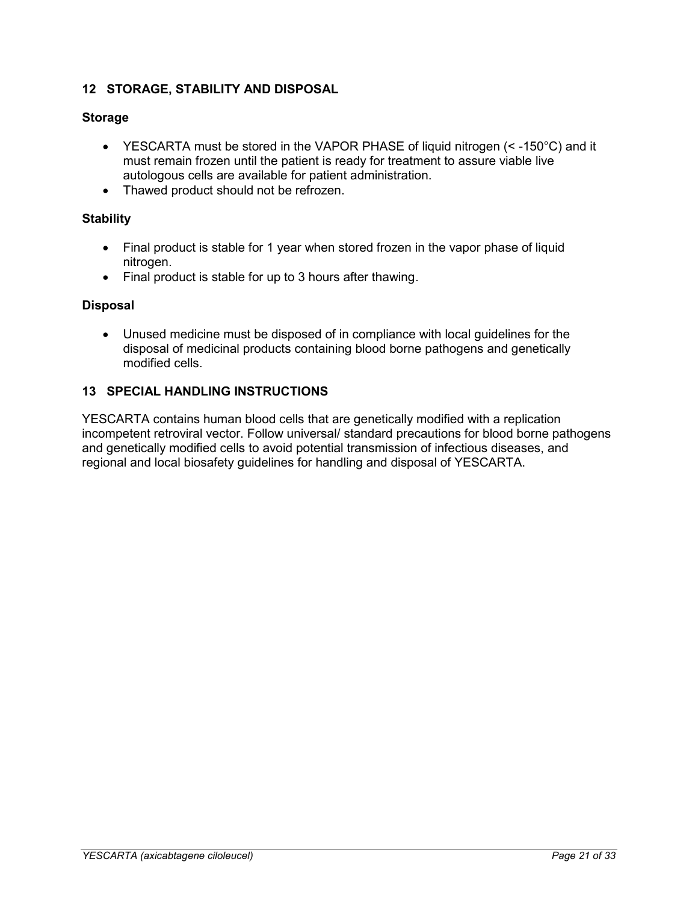## <span id="page-20-0"></span>**12 STORAGE, STABILITY AND DISPOSAL**

## **Storage**

- YESCARTA must be stored in the VAPOR PHASE of liquid nitrogen (< -150°C) and it must remain frozen until the patient is ready for treatment to assure viable live autologous cells are available for patient administration.
- Thawed product should not be refrozen.

## **Stability**

- Final product is stable for 1 year when stored frozen in the vapor phase of liquid nitrogen.
- Final product is stable for up to 3 hours after thawing.

## **Disposal**

 Unused medicine must be disposed of in compliance with local guidelines for the disposal of medicinal products containing blood borne pathogens and genetically modified cells.

## <span id="page-20-1"></span>**13 SPECIAL HANDLING INSTRUCTIONS**

YESCARTA contains human blood cells that are genetically modified with a replication incompetent retroviral vector. Follow universal/ standard precautions for blood borne pathogens and genetically modified cells to avoid potential transmission of infectious diseases, and regional and local biosafety guidelines for handling and disposal of YESCARTA.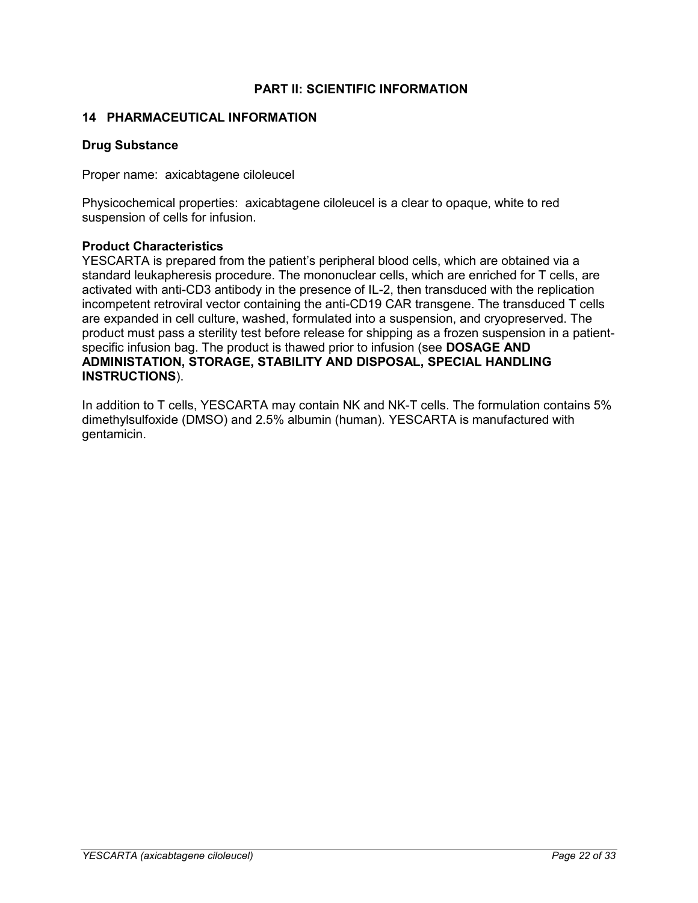## **PART II: SCIENTIFIC INFORMATION**

#### <span id="page-21-1"></span><span id="page-21-0"></span>**14 PHARMACEUTICAL INFORMATION**

#### **Drug Substance**

Proper name: axicabtagene ciloleucel

Physicochemical properties: axicabtagene ciloleucel is a clear to opaque, white to red suspension of cells for infusion.

#### **Product Characteristics**

YESCARTA is prepared from the patient's peripheral blood cells, which are obtained via a standard leukapheresis procedure. The mononuclear cells, which are enriched for T cells, are activated with anti-CD3 antibody in the presence of IL-2, then transduced with the replication incompetent retroviral vector containing the anti-CD19 CAR transgene. The transduced T cells are expanded in cell culture, washed, formulated into a suspension, and cryopreserved. The product must pass a sterility test before release for shipping as a frozen suspension in a patientspecific infusion bag. The product is thawed prior to infusion (see **DOSAGE AND ADMINISTATION, STORAGE, STABILITY AND DISPOSAL, SPECIAL HANDLING INSTRUCTIONS**).

In addition to T cells, YESCARTA may contain NK and NK-T cells. The formulation contains 5% dimethylsulfoxide (DMSO) and 2.5% albumin (human). YESCARTA is manufactured with gentamicin.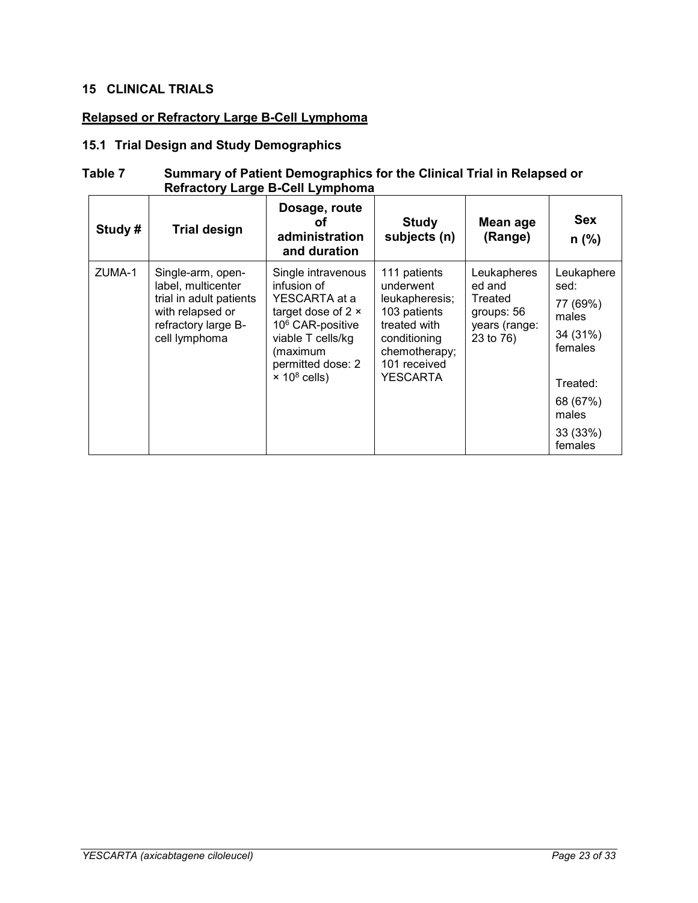## <span id="page-22-0"></span>**15 CLINICAL TRIALS**

## **Relapsed or Refractory Large B-Cell Lymphoma**

## <span id="page-22-1"></span>**15.1 Trial Design and Study Demographics**

#### <span id="page-22-2"></span>**Table 7 Summary of Patient Demographics for the Clinical Trial in Relapsed or Refractory Large B-Cell Lymphoma**

| Study# | <b>Trial design</b>                                                                                                            | Dosage, route<br>ΩŤ<br>administration<br>and duration                                                                                                                                                    | <b>Study</b><br>subjects (n)                                                                                                             | Mean age<br>(Range)                                                          | <b>Sex</b><br>$n$ (%)                                                                                                  |
|--------|--------------------------------------------------------------------------------------------------------------------------------|----------------------------------------------------------------------------------------------------------------------------------------------------------------------------------------------------------|------------------------------------------------------------------------------------------------------------------------------------------|------------------------------------------------------------------------------|------------------------------------------------------------------------------------------------------------------------|
| ZUMA-1 | Single-arm, open-<br>label, multicenter<br>trial in adult patients<br>with relapsed or<br>refractory large B-<br>cell lymphoma | Single intravenous<br>infusion of<br>YESCARTA at a<br>target dose of $2 \times$<br>10 <sup>6</sup> CAR-positive<br>viable T cells/kg<br>(maximum<br>permitted dose: 2<br>$\times$ 10 <sup>8</sup> cells) | 111 patients<br>underwent<br>leukapheresis;<br>103 patients<br>treated with<br>conditioning<br>chemotherapy;<br>101 received<br>YESCARTA | Leukapheres<br>ed and<br>Treated<br>groups: 56<br>years (range:<br>23 to 76) | Leukaphere<br>sed:<br>77 (69%)<br>males<br>34 (31%)<br>females<br>Treated:<br>68 (67%)<br>males<br>33 (33%)<br>females |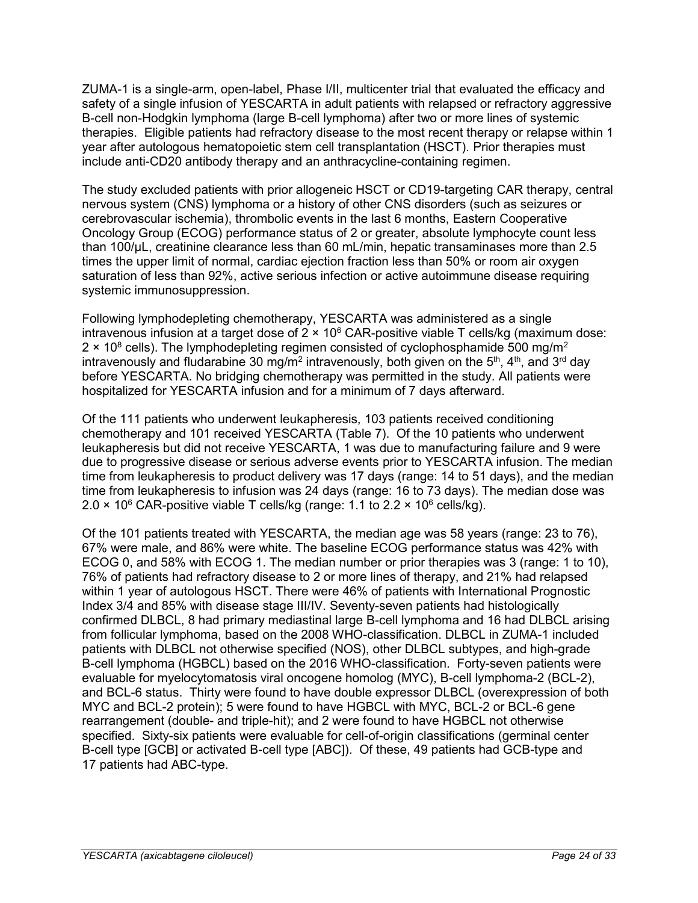ZUMA-1 is a single-arm, open-label, Phase I/II, multicenter trial that evaluated the efficacy and safety of a single infusion of YESCARTA in adult patients with relapsed or refractory aggressive B-cell non-Hodgkin lymphoma (large B-cell lymphoma) after two or more lines of systemic therapies. Eligible patients had refractory disease to the most recent therapy or relapse within 1 year after autologous hematopoietic stem cell transplantation (HSCT). Prior therapies must include anti-CD20 antibody therapy and an anthracycline-containing regimen.

The study excluded patients with prior allogeneic HSCT or CD19-targeting CAR therapy, central nervous system (CNS) lymphoma or a history of other CNS disorders (such as seizures or cerebrovascular ischemia), thrombolic events in the last 6 months, Eastern Cooperative Oncology Group (ECOG) performance status of 2 or greater, absolute lymphocyte count less than 100/µL, creatinine clearance less than 60 mL/min, hepatic transaminases more than 2.5 times the upper limit of normal, cardiac ejection fraction less than 50% or room air oxygen saturation of less than 92%, active serious infection or active autoimmune disease requiring systemic immunosuppression.

Following lymphodepleting chemotherapy, YESCARTA was administered as a single intravenous infusion at a target dose of  $2 \times 10^6$  CAR-positive viable T cells/kg (maximum dose:  $2 \times 10^8$  cells). The lymphodepleting regimen consisted of cyclophosphamide 500 mg/m<sup>2</sup> intravenously and fludarabine 30 mg/m<sup>2</sup> intravenously, both given on the 5<sup>th</sup>, 4<sup>th</sup>, and 3<sup>rd</sup> day before YESCARTA. No bridging chemotherapy was permitted in the study. All patients were hospitalized for YESCARTA infusion and for a minimum of 7 days afterward.

Of the 111 patients who underwent leukapheresis, 103 patients received conditioning chemotherapy and 101 received YESCARTA [\(Table 7\)](#page-22-2). Of the 10 patients who underwent leukapheresis but did not receive YESCARTA, 1 was due to manufacturing failure and 9 were due to progressive disease or serious adverse events prior to YESCARTA infusion. The median time from leukapheresis to product delivery was 17 days (range: 14 to 51 days), and the median time from leukapheresis to infusion was 24 days (range: 16 to 73 days). The median dose was 2.0  $\times$  10<sup>6</sup> CAR-positive viable T cells/kg (range: 1.1 to 2.2  $\times$  10<sup>6</sup> cells/kg).

Of the 101 patients treated with YESCARTA, the median age was 58 years (range: 23 to 76), 67% were male, and 86% were white. The baseline ECOG performance status was 42% with ECOG 0, and 58% with ECOG 1. The median number or prior therapies was 3 (range: 1 to 10), 76% of patients had refractory disease to 2 or more lines of therapy, and 21% had relapsed within 1 year of autologous HSCT. There were 46% of patients with International Prognostic Index 3/4 and 85% with disease stage III/IV. Seventy-seven patients had histologically confirmed DLBCL, 8 had primary mediastinal large B-cell lymphoma and 16 had DLBCL arising from follicular lymphoma, based on the 2008 WHO-classification. DLBCL in ZUMA-1 included patients with DLBCL not otherwise specified (NOS), other DLBCL subtypes, and high-grade B-cell lymphoma (HGBCL) based on the 2016 WHO-classification. Forty-seven patients were evaluable for myelocytomatosis viral oncogene homolog (MYC), B-cell lymphoma-2 (BCL-2), and BCL-6 status. Thirty were found to have double expressor DLBCL (overexpression of both MYC and BCL-2 protein); 5 were found to have HGBCL with MYC, BCL-2 or BCL-6 gene rearrangement (double- and triple-hit); and 2 were found to have HGBCL not otherwise specified. Sixty-six patients were evaluable for cell-of-origin classifications (germinal center B-cell type [GCB] or activated B-cell type [ABC]). Of these, 49 patients had GCB-type and 17 patients had ABC-type.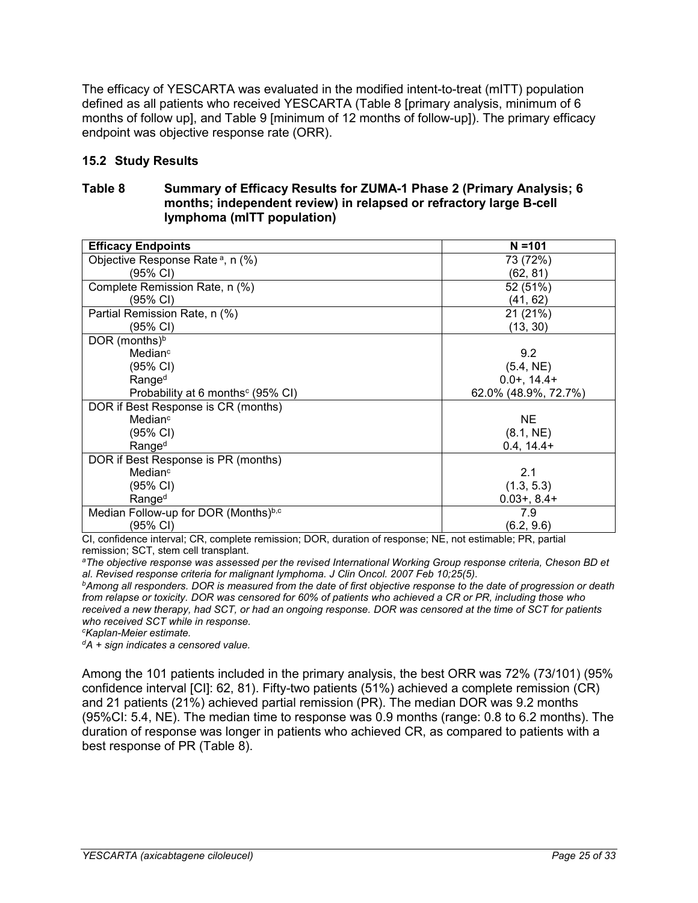The efficacy of YESCARTA was evaluated in the modified intent-to-treat (mITT) population defined as all patients who received YESCARTA [\(Table 8](#page-24-1) [primary analysis, minimum of 6 months of follow up], and [Table 9](#page-25-1) [minimum of 12 months of follow-up]). The primary efficacy endpoint was objective response rate (ORR).

## <span id="page-24-0"></span>**15.2 Study Results**

## <span id="page-24-1"></span>**Table 8 Summary of Efficacy Results for ZUMA-1 Phase 2 (Primary Analysis; 6 months; independent review) in relapsed or refractory large B-cell lymphoma (mITT population)**

| <b>Efficacy Endpoints</b>                     | $N = 101$            |
|-----------------------------------------------|----------------------|
| Objective Response Rate <sup>a</sup> , n (%)  | 73 (72%)             |
| (95% CI)                                      | (62, 81)             |
| Complete Remission Rate, n (%)                | 52 (51%)             |
| (95% CI)                                      | (41, 62)             |
| Partial Remission Rate, n (%)                 | 21 (21%)             |
| (95% CI)                                      | (13, 30)             |
| DOR (months) <sup>b</sup>                     |                      |
| Median <sup>c</sup>                           | 9.2                  |
| (95% CI)                                      | (5.4, NE)            |
| Range <sup>d</sup>                            | $0.0+, 14.4+$        |
| Probability at 6 months <sup>c</sup> (95% CI) | 62.0% (48.9%, 72.7%) |
| DOR if Best Response is CR (months)           |                      |
| Median <sup>c</sup>                           | <b>NE</b>            |
| (95% CI)                                      | (8.1, NE)            |
| Range <sup>d</sup>                            | $0.4, 14.4+$         |
| DOR if Best Response is PR (months)           |                      |
| Median <sup>c</sup>                           | 2.1                  |
| (95% CI)                                      | (1.3, 5.3)           |
| Range <sup>d</sup>                            | $0.03 + 0.84 +$      |
| Median Follow-up for DOR (Months)b,c          | 7.9                  |
| (95% CI)                                      | (6.2, 9.6)           |

CI, confidence interval; CR, complete remission; DOR, duration of response; NE, not estimable; PR, partial remission; SCT, stem cell transplant.

*<sup>a</sup>The objective response was assessed per the revised International Working Group response criteria, Cheson BD et al. Revised response criteria for malignant lymphoma. J Clin Oncol. 2007 Feb 10;25(5).*

*<sup>b</sup>Among all responders. DOR is measured from the date of first objective response to the date of progression or death from relapse or toxicity. DOR was censored for 60% of patients who achieved a CR or PR, including those who received a new therapy, had SCT, or had an ongoing response. DOR was censored at the time of SCT for patients who received SCT while in response.*

*<sup>c</sup>Kaplan-Meier estimate.* 

*<sup>d</sup>A + sign indicates a censored value.*

Among the 101 patients included in the primary analysis, the best ORR was 72% (73/101) (95% confidence interval [CI]: 62, 81). Fifty-two patients (51%) achieved a complete remission (CR) and 21 patients (21%) achieved partial remission (PR). The median DOR was 9.2 months (95%CI: 5.4, NE). The median time to response was 0.9 months (range: 0.8 to 6.2 months). The duration of response was longer in patients who achieved CR, as compared to patients with a best response of PR [\(Table 8\)](#page-24-1).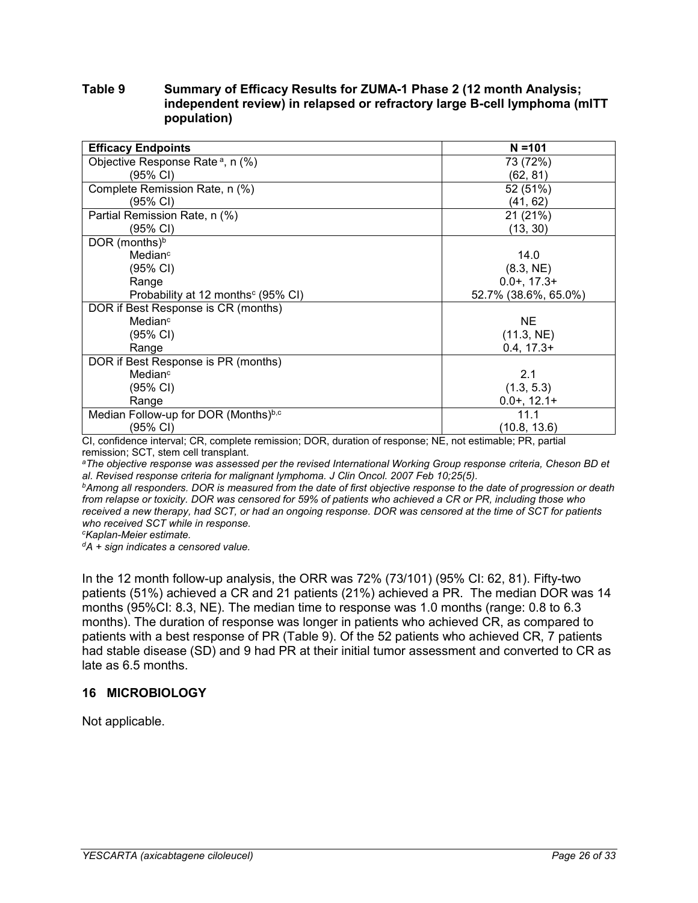## <span id="page-25-1"></span>**Table 9 Summary of Efficacy Results for ZUMA-1 Phase 2 (12 month Analysis; independent review) in relapsed or refractory large B-cell lymphoma (mITT population)**

| <b>Efficacy Endpoints</b>                      | $N = 101$            |
|------------------------------------------------|----------------------|
| Objective Response Rate <sup>a</sup> , n (%)   | 73 (72%)             |
| (95% CI)                                       | (62, 81)             |
| Complete Remission Rate, n (%)                 | 52 (51%)             |
| (95% CI)                                       | (41, 62)             |
| Partial Remission Rate, n (%)                  | 21 (21%)             |
| (95% CI)                                       | (13, 30)             |
| DOR (months) <sup>b</sup>                      |                      |
| Median <sup>c</sup>                            | 14.0                 |
| (95% CI)                                       | (8.3, NE)            |
| Range                                          | $0.0 + 17.3 +$       |
| Probability at 12 months <sup>c</sup> (95% CI) | 52.7% (38.6%, 65.0%) |
| DOR if Best Response is CR (months)            |                      |
| Median <sup>c</sup>                            | <b>NE</b>            |
| (95% CI)                                       | (11.3, NE)           |
| Range                                          | $0.4, 17.3+$         |
| DOR if Best Response is PR (months)            |                      |
| Median <sup>c</sup>                            | 2.1                  |
| (95% CI)                                       | (1.3, 5.3)           |
| Range                                          | $0.0+, 12.1+$        |
| Median Follow-up for DOR (Months)b,c           | 11.1                 |
| (95% CI)                                       | (10.8, 13.6)         |

CI, confidence interval; CR, complete remission; DOR, duration of response; NE, not estimable; PR, partial remission; SCT, stem cell transplant.

*<sup>a</sup>The objective response was assessed per the revised International Working Group response criteria, Cheson BD et al. Revised response criteria for malignant lymphoma. J Clin Oncol. 2007 Feb 10;25(5).*

*<sup>b</sup>Among all responders. DOR is measured from the date of first objective response to the date of progression or death from relapse or toxicity. DOR was censored for 59% of patients who achieved a CR or PR, including those who received a new therapy, had SCT, or had an ongoing response. DOR was censored at the time of SCT for patients who received SCT while in response.*

*<sup>c</sup>Kaplan-Meier estimate.*

*<sup>d</sup>A + sign indicates a censored value.*

In the 12 month follow-up analysis, the ORR was 72% (73/101) (95% CI: 62, 81). Fifty-two patients (51%) achieved a CR and 21 patients (21%) achieved a PR. The median DOR was 14 months (95%CI: 8.3, NE). The median time to response was 1.0 months (range: 0.8 to 6.3 months). The duration of response was longer in patients who achieved CR, as compared to patients with a best response of PR [\(Table 9\)](#page-25-1). Of the 52 patients who achieved CR, 7 patients had stable disease (SD) and 9 had PR at their initial tumor assessment and converted to CR as late as 6.5 months.

## <span id="page-25-0"></span>**16 MICROBIOLOGY**

Not applicable.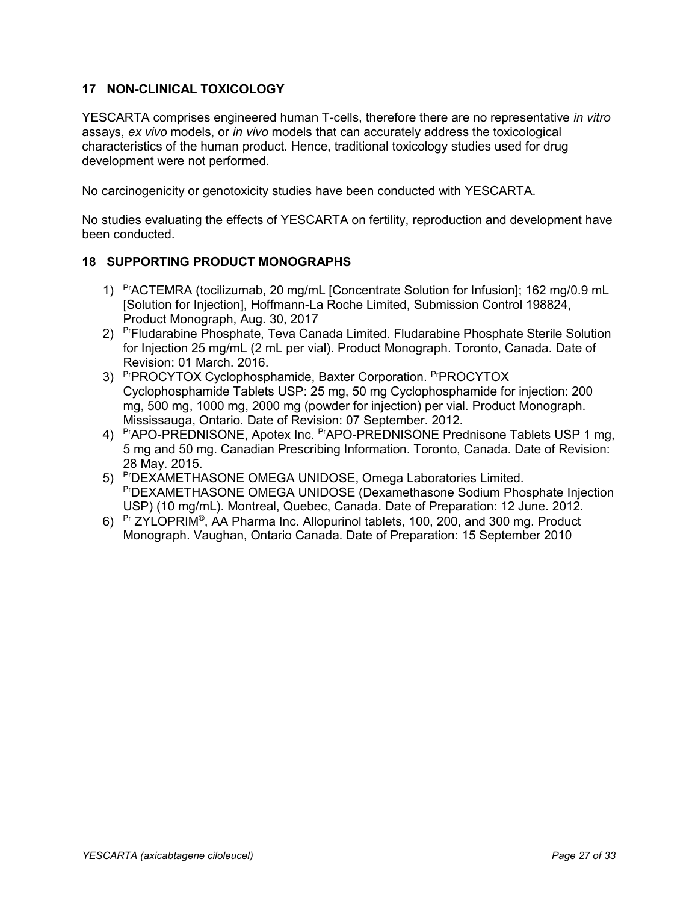## <span id="page-26-0"></span>**17 NON-CLINICAL TOXICOLOGY**

YESCARTA comprises engineered human T-cells, therefore there are no representative *in vitro* assays, *ex vivo* models, or *in vivo* models that can accurately address the toxicological characteristics of the human product. Hence, traditional toxicology studies used for drug development were not performed.

No carcinogenicity or genotoxicity studies have been conducted with YESCARTA.

No studies evaluating the effects of YESCARTA on fertility, reproduction and development have been conducted.

## <span id="page-26-1"></span>**18 SUPPORTING PRODUCT MONOGRAPHS**

- 1) PrACTEMRA (tocilizumab, 20 mg/mL [Concentrate Solution for Infusion]; 162 mg/0.9 mL [Solution for Injection], Hoffmann-La Roche Limited, Submission Control 198824, Product Monograph, Aug. 30, 2017
- 2) PrFludarabine Phosphate, Teva Canada Limited. Fludarabine Phosphate Sterile Solution for Injection 25 mg/mL (2 mL per vial). Product Monograph. Toronto, Canada. Date of Revision: 01 March. 2016.
- 3) PrPROCYTOX Cyclophosphamide, Baxter Corporation. PrPROCYTOX Cyclophosphamide Tablets USP: 25 mg, 50 mg Cyclophosphamide for injection: 200 mg, 500 mg, 1000 mg, 2000 mg (powder for injection) per vial. Product Monograph. Mississauga, Ontario. Date of Revision: 07 September. 2012.
- 4) PrAPO-PREDNISONE, Apotex Inc. PrAPO-PREDNISONE Prednisone Tablets USP 1 mg, 5 mg and 50 mg. Canadian Prescribing Information. Toronto, Canada. Date of Revision: 28 May. 2015.
- 5) PrDEXAMETHASONE OMEGA UNIDOSE, Omega Laboratories Limited. PrDEXAMETHASONE OMEGA UNIDOSE (Dexamethasone Sodium Phosphate Injection USP) (10 mg/mL). Montreal, Quebec, Canada. Date of Preparation: 12 June. 2012.
- 6) <sup>Pr</sup> ZYLOPRIM<sup>®</sup>, AA Pharma Inc. Allopurinol tablets, 100, 200, and 300 mg. Product Monograph. Vaughan, Ontario Canada. Date of Preparation: 15 September 2010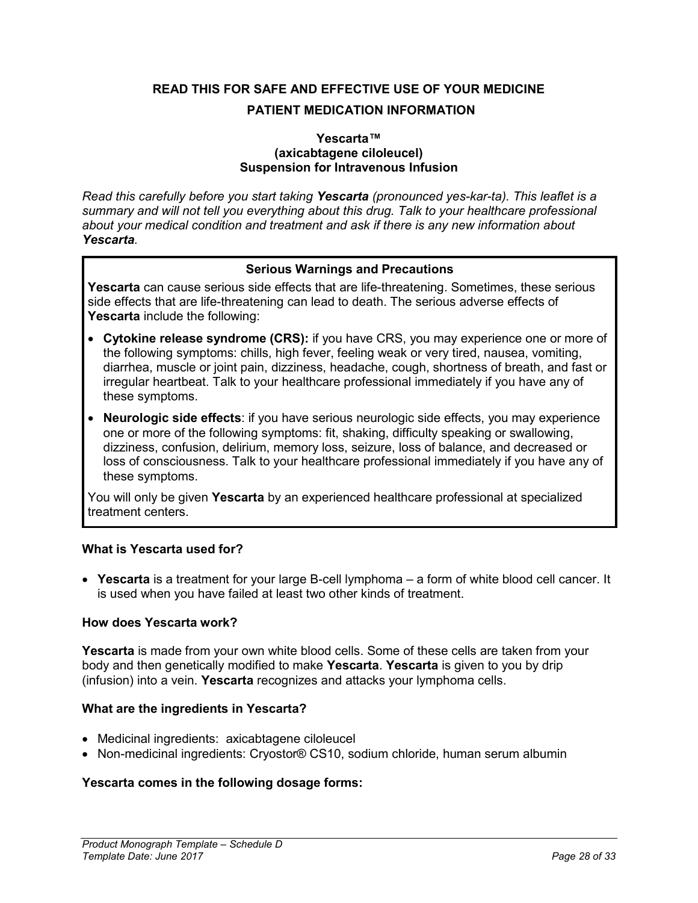# <span id="page-27-0"></span>**READ THIS FOR SAFE AND EFFECTIVE USE OF YOUR MEDICINE PATIENT MEDICATION INFORMATION**

#### **Yescarta™ (axicabtagene ciloleucel) Suspension for Intravenous Infusion**

*Read this carefully before you start taking Yescarta (pronounced yes-kar-ta). This leaflet is a summary and will not tell you everything about this drug. Talk to your healthcare professional about your medical condition and treatment and ask if there is any new information about Yescarta.* 

## **Serious Warnings and Precautions**

**Yescarta** can cause serious side effects that are life-threatening. Sometimes, these serious side effects that are life-threatening can lead to death. The serious adverse effects of **Yescarta** include the following:

- **Cytokine release syndrome (CRS):** if you have CRS, you may experience one or more of the following symptoms: chills, high fever, feeling weak or very tired, nausea, vomiting, diarrhea, muscle or joint pain, dizziness, headache, cough, shortness of breath, and fast or irregular heartbeat. Talk to your healthcare professional immediately if you have any of these symptoms.
- **Neurologic side effects**: if you have serious neurologic side effects, you may experience one or more of the following symptoms: fit, shaking, difficulty speaking or swallowing, dizziness, confusion, delirium, memory loss, seizure, loss of balance, and decreased or loss of consciousness. Talk to your healthcare professional immediately if you have any of these symptoms.

You will only be given **Yescarta** by an experienced healthcare professional at specialized treatment centers.

## **What is Yescarta used for?**

 **Yescarta** is a treatment for your large B-cell lymphoma – a form of white blood cell cancer. It is used when you have failed at least two other kinds of treatment.

## **How does Yescarta work?**

**Yescarta** is made from your own white blood cells. Some of these cells are taken from your body and then genetically modified to make **Yescarta**. **Yescarta** is given to you by drip (infusion) into a vein. **Yescarta** recognizes and attacks your lymphoma cells.

## **What are the ingredients in Yescarta?**

- Medicinal ingredients: axicabtagene ciloleucel
- Non-medicinal ingredients: Cryostor® CS10, sodium chloride, human serum albumin

## **Yescarta comes in the following dosage forms:**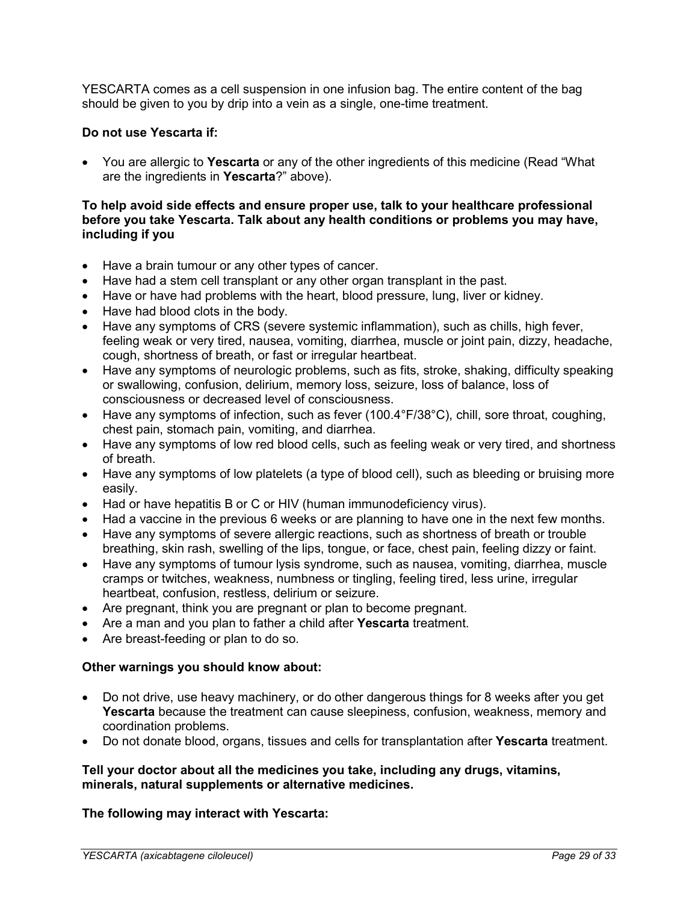YESCARTA comes as a cell suspension in one infusion bag. The entire content of the bag should be given to you by drip into a vein as a single, one-time treatment.

#### **Do not use Yescarta if:**

 You are allergic to **Yescarta** or any of the other ingredients of this medicine (Read "What are the ingredients in **Yescarta**?" above).

#### **To help avoid side effects and ensure proper use, talk to your healthcare professional before you take Yescarta. Talk about any health conditions or problems you may have, including if you**

- Have a brain tumour or any other types of cancer.
- Have had a stem cell transplant or any other organ transplant in the past.
- Have or have had problems with the heart, blood pressure, lung, liver or kidney.
- Have had blood clots in the body.
- Have any symptoms of CRS (severe systemic inflammation), such as chills, high fever, feeling weak or very tired, nausea, vomiting, diarrhea, muscle or joint pain, dizzy, headache, cough, shortness of breath, or fast or irregular heartbeat.
- Have any symptoms of neurologic problems, such as fits, stroke, shaking, difficulty speaking or swallowing, confusion, delirium, memory loss, seizure, loss of balance, loss of consciousness or decreased level of consciousness.
- Have any symptoms of infection, such as fever (100.4°F/38°C), chill, sore throat, coughing, chest pain, stomach pain, vomiting, and diarrhea.
- Have any symptoms of low red blood cells, such as feeling weak or very tired, and shortness of breath.
- Have any symptoms of low platelets (a type of blood cell), such as bleeding or bruising more easily.
- Had or have hepatitis B or C or HIV (human immunodeficiency virus).
- Had a vaccine in the previous 6 weeks or are planning to have one in the next few months.
- Have any symptoms of severe allergic reactions, such as shortness of breath or trouble breathing, skin rash, swelling of the lips, tongue, or face, chest pain, feeling dizzy or faint.
- Have any symptoms of tumour lysis syndrome, such as nausea, vomiting, diarrhea, muscle cramps or twitches, weakness, numbness or tingling, feeling tired, less urine, irregular heartbeat, confusion, restless, delirium or seizure.
- Are pregnant, think you are pregnant or plan to become pregnant.
- Are a man and you plan to father a child after **Yescarta** treatment.
- Are breast-feeding or plan to do so.

#### **Other warnings you should know about:**

- Do not drive, use heavy machinery, or do other dangerous things for 8 weeks after you get **Yescarta** because the treatment can cause sleepiness, confusion, weakness, memory and coordination problems.
- Do not donate blood, organs, tissues and cells for transplantation after **Yescarta** treatment.

#### **Tell your doctor about all the medicines you take, including any drugs, vitamins, minerals, natural supplements or alternative medicines.**

## **The following may interact with Yescarta:**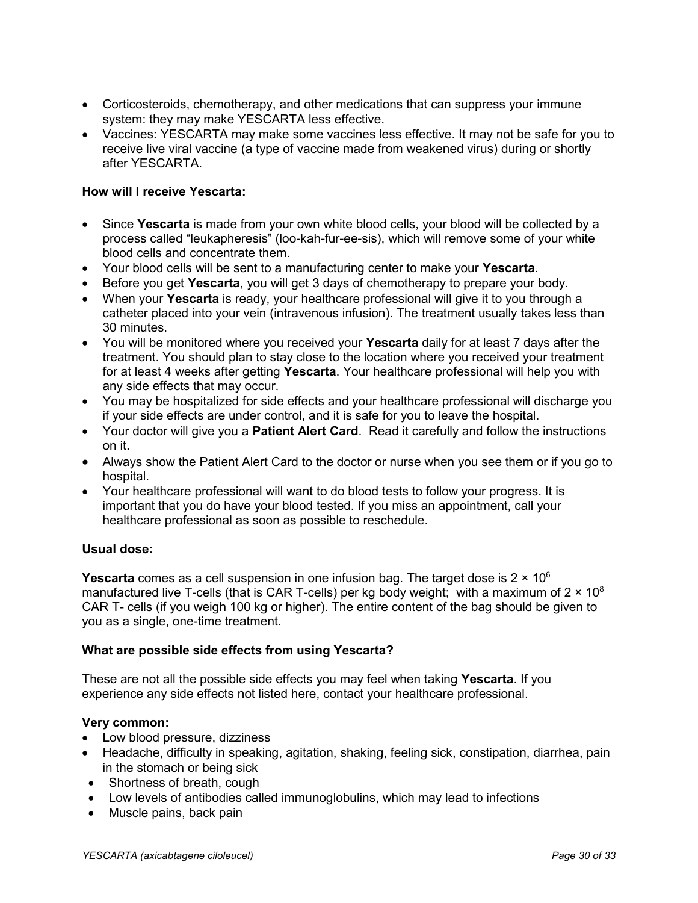- Corticosteroids, chemotherapy, and other medications that can suppress your immune system: they may make YESCARTA less effective.
- Vaccines: YESCARTA may make some vaccines less effective. It may not be safe for you to receive live viral vaccine (a type of vaccine made from weakened virus) during or shortly after YESCARTA.

## **How will I receive Yescarta:**

- Since **Yescarta** is made from your own white blood cells, your blood will be collected by a process called "leukapheresis" (loo-kah-fur-ee-sis), which will remove some of your white blood cells and concentrate them.
- Your blood cells will be sent to a manufacturing center to make your **Yescarta**.
- Before you get **Yescarta**, you will get 3 days of chemotherapy to prepare your body.
- When your **Yescarta** is ready, your healthcare professional will give it to you through a catheter placed into your vein (intravenous infusion). The treatment usually takes less than 30 minutes.
- You will be monitored where you received your **Yescarta** daily for at least 7 days after the treatment. You should plan to stay close to the location where you received your treatment for at least 4 weeks after getting **Yescarta**. Your healthcare professional will help you with any side effects that may occur.
- You may be hospitalized for side effects and your healthcare professional will discharge you if your side effects are under control, and it is safe for you to leave the hospital.
- Your doctor will give you a **Patient Alert Card**. Read it carefully and follow the instructions on it.
- Always show the Patient Alert Card to the doctor or nurse when you see them or if you go to hospital.
- Your healthcare professional will want to do blood tests to follow your progress. It is important that you do have your blood tested. If you miss an appointment, call your healthcare professional as soon as possible to reschedule.

## **Usual dose:**

**Yescarta** comes as a cell suspension in one infusion bag. The target dose is 2  $\times$  10<sup>6</sup> manufactured live T-cells (that is CAR T-cells) per kg body weight; with a maximum of  $2 \times 10^8$ CAR T- cells (if you weigh 100 kg or higher). The entire content of the bag should be given to you as a single, one-time treatment.

## **What are possible side effects from using Yescarta?**

These are not all the possible side effects you may feel when taking **Yescarta**. If you experience any side effects not listed here, contact your healthcare professional.

## **Very common:**

- Low blood pressure, dizziness
- Headache, difficulty in speaking, agitation, shaking, feeling sick, constipation, diarrhea, pain in the stomach or being sick
- Shortness of breath, cough
- Low levels of antibodies called immunoglobulins, which may lead to infections
- Muscle pains, back pain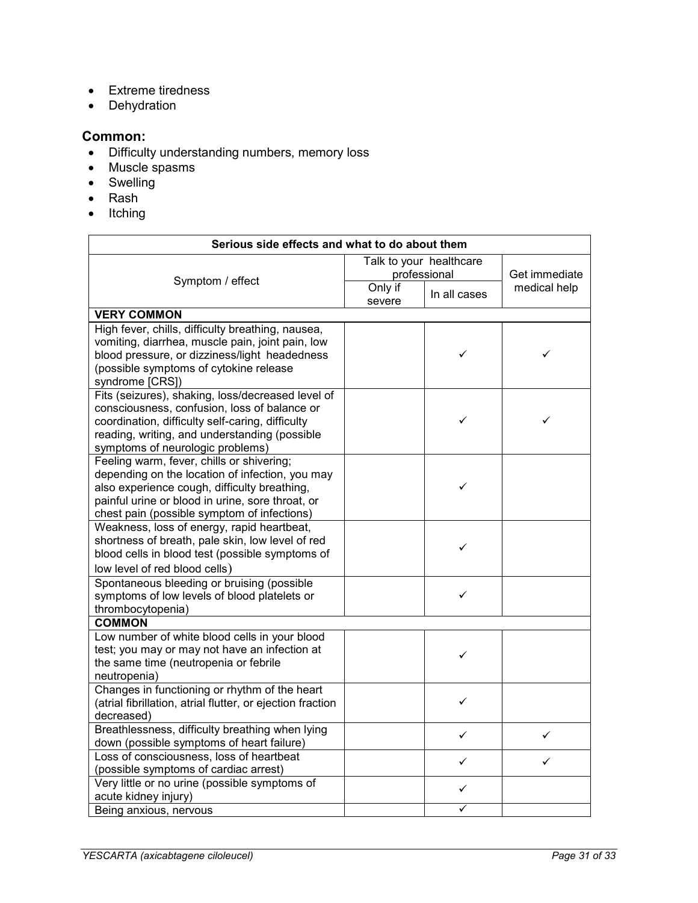- Extreme tiredness
- Dehydration

#### **Common:**

- Difficulty understanding numbers, memory loss
- Muscle spasms
- Swelling
- Rash
- $\bullet$  Itching

| Serious side effects and what to do about them                                                                                                                                                                                                  |                                         |              |               |
|-------------------------------------------------------------------------------------------------------------------------------------------------------------------------------------------------------------------------------------------------|-----------------------------------------|--------------|---------------|
|                                                                                                                                                                                                                                                 | Talk to your healthcare<br>professional |              | Get immediate |
| Symptom / effect                                                                                                                                                                                                                                | Only if<br>severe                       | In all cases | medical help  |
| <b>VERY COMMON</b>                                                                                                                                                                                                                              |                                         |              |               |
| High fever, chills, difficulty breathing, nausea,<br>vomiting, diarrhea, muscle pain, joint pain, low<br>blood pressure, or dizziness/light headedness<br>(possible symptoms of cytokine release<br>syndrome [CRS])                             |                                         | ✓            | ✓             |
| Fits (seizures), shaking, loss/decreased level of<br>consciousness, confusion, loss of balance or<br>coordination, difficulty self-caring, difficulty<br>reading, writing, and understanding (possible<br>symptoms of neurologic problems)      |                                         | ✓            |               |
| Feeling warm, fever, chills or shivering;<br>depending on the location of infection, you may<br>also experience cough, difficulty breathing,<br>painful urine or blood in urine, sore throat, or<br>chest pain (possible symptom of infections) |                                         | ✓            |               |
| Weakness, loss of energy, rapid heartbeat,<br>shortness of breath, pale skin, low level of red<br>blood cells in blood test (possible symptoms of<br>low level of red blood cells)                                                              |                                         | ✓            |               |
| Spontaneous bleeding or bruising (possible<br>symptoms of low levels of blood platelets or<br>thrombocytopenia)                                                                                                                                 |                                         | ✓            |               |
| <b>COMMON</b>                                                                                                                                                                                                                                   |                                         |              |               |
| Low number of white blood cells in your blood<br>test; you may or may not have an infection at<br>the same time (neutropenia or febrile<br>neutropenia)                                                                                         |                                         | ✓            |               |
| Changes in functioning or rhythm of the heart<br>(atrial fibrillation, atrial flutter, or ejection fraction<br>decreased)                                                                                                                       |                                         | $\checkmark$ |               |
| Breathlessness, difficulty breathing when lying<br>down (possible symptoms of heart failure)                                                                                                                                                    |                                         | $\checkmark$ | ✓             |
| Loss of consciousness, loss of heartbeat<br>(possible symptoms of cardiac arrest)                                                                                                                                                               |                                         | ✓            | ✓             |
| Very little or no urine (possible symptoms of<br>acute kidney injury)                                                                                                                                                                           |                                         | ✓            |               |
| Being anxious, nervous                                                                                                                                                                                                                          |                                         | ✓            |               |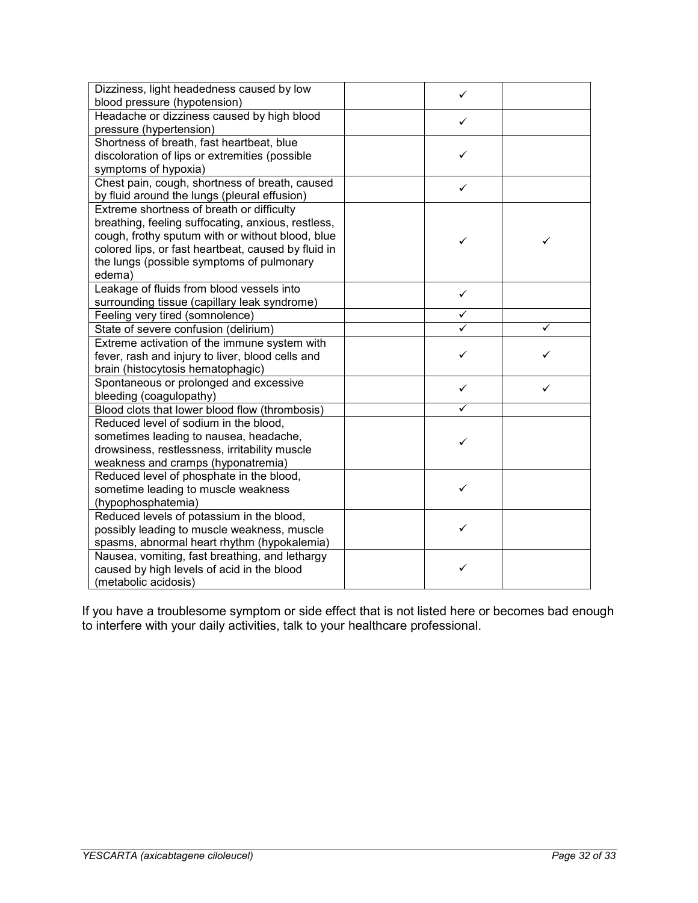| Dizziness, light headedness caused by low<br>blood pressure (hypotension)                                                                                                                                                                                         | ✓ |   |
|-------------------------------------------------------------------------------------------------------------------------------------------------------------------------------------------------------------------------------------------------------------------|---|---|
| Headache or dizziness caused by high blood<br>pressure (hypertension)                                                                                                                                                                                             | ✓ |   |
| Shortness of breath, fast heartbeat, blue<br>discoloration of lips or extremities (possible<br>symptoms of hypoxia)                                                                                                                                               | ✓ |   |
| Chest pain, cough, shortness of breath, caused<br>by fluid around the lungs (pleural effusion)                                                                                                                                                                    | ✓ |   |
| Extreme shortness of breath or difficulty<br>breathing, feeling suffocating, anxious, restless,<br>cough, frothy sputum with or without blood, blue<br>colored lips, or fast heartbeat, caused by fluid in<br>the lungs (possible symptoms of pulmonary<br>edema) | ✓ | ✓ |
| Leakage of fluids from blood vessels into<br>surrounding tissue (capillary leak syndrome)                                                                                                                                                                         | ✓ |   |
| Feeling very tired (somnolence)                                                                                                                                                                                                                                   |   |   |
| State of severe confusion (delirium)                                                                                                                                                                                                                              |   |   |
| Extreme activation of the immune system with<br>fever, rash and injury to liver, blood cells and<br>brain (histocytosis hematophagic)                                                                                                                             | ✓ |   |
| Spontaneous or prolonged and excessive<br>bleeding (coagulopathy)                                                                                                                                                                                                 | ✓ | ✓ |
| Blood clots that lower blood flow (thrombosis)                                                                                                                                                                                                                    | ✓ |   |
| Reduced level of sodium in the blood,<br>sometimes leading to nausea, headache,<br>drowsiness, restlessness, irritability muscle<br>weakness and cramps (hyponatremia)                                                                                            | ✓ |   |
| Reduced level of phosphate in the blood,<br>sometime leading to muscle weakness<br>(hypophosphatemia)                                                                                                                                                             | ✓ |   |
| Reduced levels of potassium in the blood,<br>possibly leading to muscle weakness, muscle<br>spasms, abnormal heart rhythm (hypokalemia)                                                                                                                           | ✓ |   |
| Nausea, vomiting, fast breathing, and lethargy<br>caused by high levels of acid in the blood<br>(metabolic acidosis)                                                                                                                                              | ✓ |   |

If you have a troublesome symptom or side effect that is not listed here or becomes bad enough to interfere with your daily activities, talk to your healthcare professional.